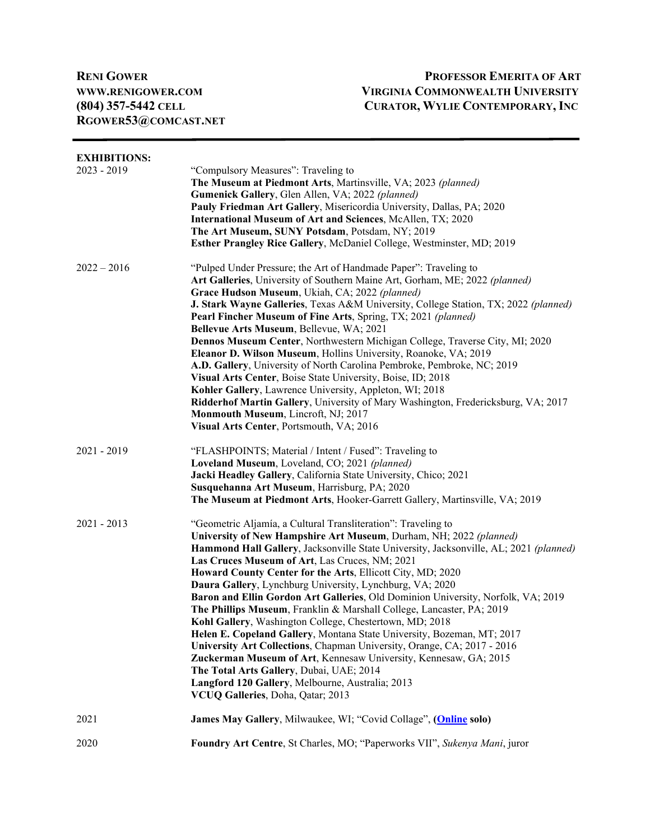**[RGOWER53@COMCAST.NET](mailto:Rgower53@comcast.net)** 

## **RENI GOWER PROFESSOR EMERITA OF ART [WWW.RENIGOWER.COM](http://www.renigower.com/) VIRGINIA COMMONWEALTH UNIVERSITY (804) 357-5442 CELL CURATOR, WYLIE CONTEMPORARY, INC**

| <b>EXHIBITIONS:</b><br>2023 - 2019 | "Compulsory Measures": Traveling to<br>The Museum at Piedmont Arts, Martinsville, VA; 2023 (planned)<br>Gumenick Gallery, Glen Allen, VA; 2022 (planned)<br>Pauly Friedman Art Gallery, Misericordia University, Dallas, PA; 2020<br>International Museum of Art and Sciences, McAllen, TX; 2020<br>The Art Museum, SUNY Potsdam, Potsdam, NY; 2019<br>Esther Prangley Rice Gallery, McDaniel College, Westminster, MD; 2019                                                                                                                                                                                                                                                                                                                                                                                                                                                                                                                                                                   |
|------------------------------------|------------------------------------------------------------------------------------------------------------------------------------------------------------------------------------------------------------------------------------------------------------------------------------------------------------------------------------------------------------------------------------------------------------------------------------------------------------------------------------------------------------------------------------------------------------------------------------------------------------------------------------------------------------------------------------------------------------------------------------------------------------------------------------------------------------------------------------------------------------------------------------------------------------------------------------------------------------------------------------------------|
| $2022 - 2016$                      | "Pulped Under Pressure; the Art of Handmade Paper": Traveling to<br>Art Galleries, University of Southern Maine Art, Gorham, ME; 2022 (planned)<br>Grace Hudson Museum, Ukiah, CA; 2022 (planned)<br>J. Stark Wayne Galleries, Texas A&M University, College Station, TX; 2022 (planned)<br>Pearl Fincher Museum of Fine Arts, Spring, TX; 2021 (planned)<br>Bellevue Arts Museum, Bellevue, WA; 2021<br>Dennos Museum Center, Northwestern Michigan College, Traverse City, MI; 2020<br>Eleanor D. Wilson Museum, Hollins University, Roanoke, VA; 2019<br>A.D. Gallery, University of North Carolina Pembroke, Pembroke, NC; 2019<br>Visual Arts Center, Boise State University, Boise, ID; 2018<br>Kohler Gallery, Lawrence University, Appleton, WI; 2018<br>Ridderhof Martin Gallery, University of Mary Washington, Fredericksburg, VA; 2017<br>Monmouth Museum, Lincroft, NJ; 2017<br>Visual Arts Center, Portsmouth, VA; 2016                                                          |
| 2021 - 2019                        | "FLASHPOINTS; Material / Intent / Fused": Traveling to<br>Loveland Museum, Loveland, CO; 2021 (planned)<br>Jacki Headley Gallery, California State University, Chico; 2021<br>Susquehanna Art Museum, Harrisburg, PA; 2020<br>The Museum at Piedmont Arts, Hooker-Garrett Gallery, Martinsville, VA; 2019                                                                                                                                                                                                                                                                                                                                                                                                                                                                                                                                                                                                                                                                                      |
| $2021 - 2013$                      | "Geometric Aljamía, a Cultural Transliteration": Traveling to<br>University of New Hampshire Art Museum, Durham, NH; 2022 (planned)<br>Hammond Hall Gallery, Jacksonville State University, Jacksonville, AL; 2021 (planned)<br>Las Cruces Museum of Art, Las Cruces, NM; 2021<br>Howard County Center for the Arts, Ellicott City, MD; 2020<br>Daura Gallery, Lynchburg University, Lynchburg, VA; 2020<br>Baron and Ellin Gordon Art Galleries, Old Dominion University, Norfolk, VA; 2019<br>The Phillips Museum, Franklin & Marshall College, Lancaster, PA; 2019<br>Kohl Gallery, Washington College, Chestertown, MD; 2018<br>Helen E. Copeland Gallery, Montana State University, Bozeman, MT; 2017<br>University Art Collections, Chapman University, Orange, CA; 2017 - 2016<br>Zuckerman Museum of Art, Kennesaw University, Kennesaw, GA; 2015<br>The Total Arts Gallery, Dubai, UAE; 2014<br>Langford 120 Gallery, Melbourne, Australia; 2013<br>VCUQ Galleries, Doha, Qatar; 2013 |
| 2021                               | James May Gallery, Milwaukee, WI; "Covid Collage", (Online solo)                                                                                                                                                                                                                                                                                                                                                                                                                                                                                                                                                                                                                                                                                                                                                                                                                                                                                                                               |
| 2020                               | Foundry Art Centre, St Charles, MO; "Paperworks VII", Sukenya Mani, juror                                                                                                                                                                                                                                                                                                                                                                                                                                                                                                                                                                                                                                                                                                                                                                                                                                                                                                                      |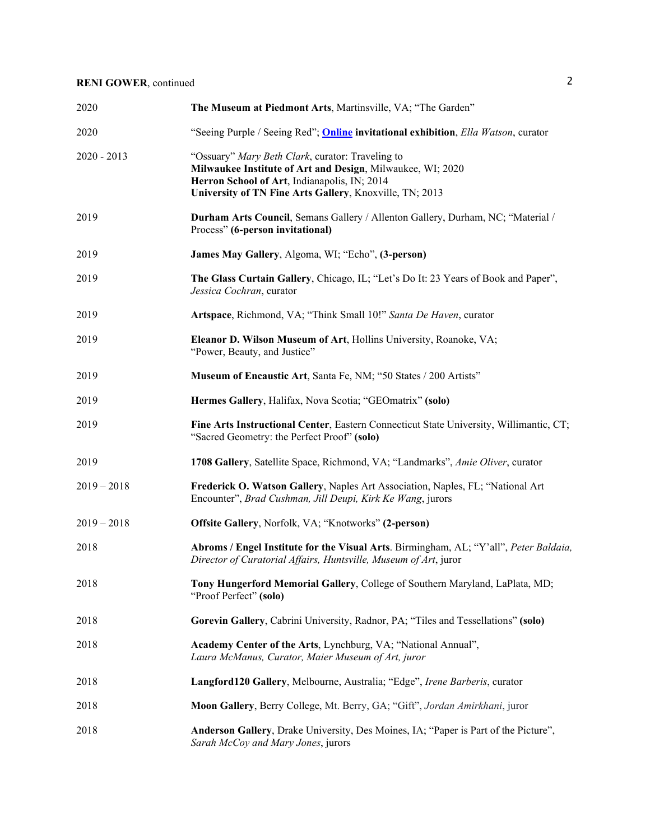| 2020          | The Museum at Piedmont Arts, Martinsville, VA; "The Garden"                                                                                                                                                               |
|---------------|---------------------------------------------------------------------------------------------------------------------------------------------------------------------------------------------------------------------------|
| 2020          | "Seeing Purple / Seeing Red"; <b>Online</b> invitational exhibition, <i>Ella Watson</i> , curator                                                                                                                         |
| $2020 - 2013$ | "Ossuary" Mary Beth Clark, curator: Traveling to<br>Milwaukee Institute of Art and Design, Milwaukee, WI; 2020<br>Herron School of Art, Indianapolis, IN; 2014<br>University of TN Fine Arts Gallery, Knoxville, TN; 2013 |
| 2019          | Durham Arts Council, Semans Gallery / Allenton Gallery, Durham, NC; "Material /<br>Process" (6-person invitational)                                                                                                       |
| 2019          | James May Gallery, Algoma, WI; "Echo", (3-person)                                                                                                                                                                         |
| 2019          | The Glass Curtain Gallery, Chicago, IL; "Let's Do It: 23 Years of Book and Paper",<br>Jessica Cochran, curator                                                                                                            |
| 2019          | Artspace, Richmond, VA; "Think Small 10!" Santa De Haven, curator                                                                                                                                                         |
| 2019          | Eleanor D. Wilson Museum of Art, Hollins University, Roanoke, VA;<br>"Power, Beauty, and Justice"                                                                                                                         |
| 2019          | Museum of Encaustic Art, Santa Fe, NM; "50 States / 200 Artists"                                                                                                                                                          |
| 2019          | Hermes Gallery, Halifax, Nova Scotia; "GEOmatrix" (solo)                                                                                                                                                                  |
| 2019          | Fine Arts Instructional Center, Eastern Connecticut State University, Willimantic, CT;<br>"Sacred Geometry: the Perfect Proof" (solo)                                                                                     |
| 2019          | 1708 Gallery, Satellite Space, Richmond, VA; "Landmarks", Amie Oliver, curator                                                                                                                                            |
| $2019 - 2018$ | Frederick O. Watson Gallery, Naples Art Association, Naples, FL; "National Art<br>Encounter", Brad Cushman, Jill Deupi, Kirk Ke Wang, jurors                                                                              |
| $2019 - 2018$ | Offsite Gallery, Norfolk, VA; "Knotworks" (2-person)                                                                                                                                                                      |
| 2018          | Abroms / Engel Institute for the Visual Arts. Birmingham, AL; "Y'all", Peter Baldaia,<br>Director of Curatorial Affairs, Huntsville, Museum of Art, juror                                                                 |
| 2018          | Tony Hungerford Memorial Gallery, College of Southern Maryland, LaPlata, MD;<br>"Proof Perfect" (solo)                                                                                                                    |
| 2018          | Gorevin Gallery, Cabrini University, Radnor, PA; "Tiles and Tessellations" (solo)                                                                                                                                         |
| 2018          | Academy Center of the Arts, Lynchburg, VA; "National Annual",<br>Laura McManus, Curator, Maier Museum of Art, juror                                                                                                       |
| 2018          | Langford120 Gallery, Melbourne, Australia; "Edge", Irene Barberis, curator                                                                                                                                                |
| 2018          | Moon Gallery, Berry College, Mt. Berry, GA; "Gift", Jordan Amirkhani, juror                                                                                                                                               |
| 2018          | Anderson Gallery, Drake University, Des Moines, IA; "Paper is Part of the Picture",<br>Sarah McCoy and Mary Jones, jurors                                                                                                 |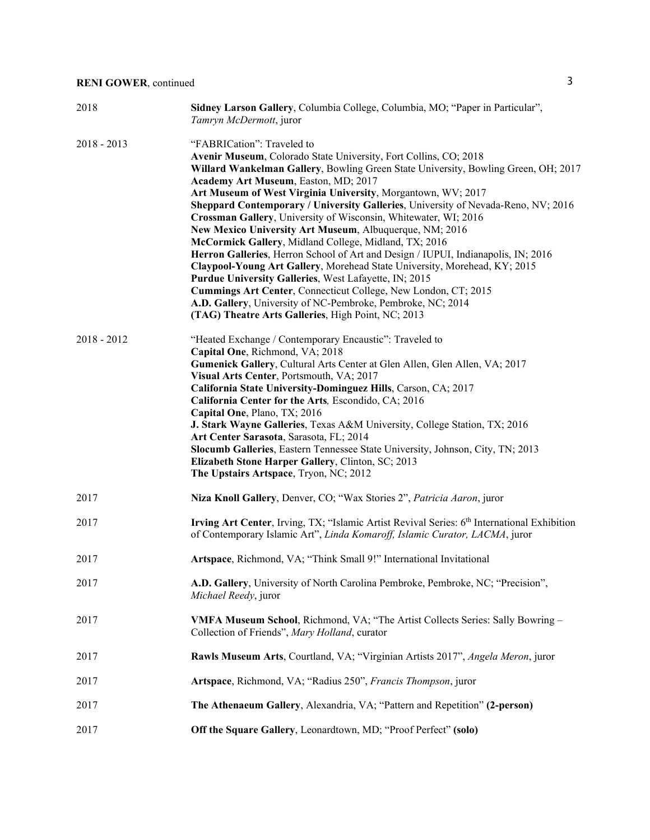| 2018          | Sidney Larson Gallery, Columbia College, Columbia, MO; "Paper in Particular",<br>Tamryn McDermott, juror                                                                                                                                                                                                                                                                                                                                                                                                                                                                                                                                                                                                                                                                                                                                                                                                                                                                                   |
|---------------|--------------------------------------------------------------------------------------------------------------------------------------------------------------------------------------------------------------------------------------------------------------------------------------------------------------------------------------------------------------------------------------------------------------------------------------------------------------------------------------------------------------------------------------------------------------------------------------------------------------------------------------------------------------------------------------------------------------------------------------------------------------------------------------------------------------------------------------------------------------------------------------------------------------------------------------------------------------------------------------------|
| $2018 - 2013$ | "FABRICation": Traveled to<br>Avenir Museum, Colorado State University, Fort Collins, CO; 2018<br>Willard Wankelman Gallery, Bowling Green State University, Bowling Green, OH; 2017<br>Academy Art Museum, Easton, MD; 2017<br>Art Museum of West Virginia University, Morgantown, WV; 2017<br>Sheppard Contemporary / University Galleries, University of Nevada-Reno, NV; 2016<br>Crossman Gallery, University of Wisconsin, Whitewater, WI; 2016<br>New Mexico University Art Museum, Albuquerque, NM; 2016<br>McCormick Gallery, Midland College, Midland, TX; 2016<br>Herron Galleries, Herron School of Art and Design / IUPUI, Indianapolis, IN; 2016<br>Claypool-Young Art Gallery, Morehead State University, Morehead, KY; 2015<br>Purdue University Galleries, West Lafayette, IN; 2015<br>Cummings Art Center, Connecticut College, New London, CT; 2015<br>A.D. Gallery, University of NC-Pembroke, Pembroke, NC; 2014<br>(TAG) Theatre Arts Galleries, High Point, NC; 2013 |
| $2018 - 2012$ | "Heated Exchange / Contemporary Encaustic": Traveled to<br>Capital One, Richmond, VA; 2018<br>Gumenick Gallery, Cultural Arts Center at Glen Allen, Glen Allen, VA; 2017<br>Visual Arts Center, Portsmouth, VA; 2017<br>California State University-Dominguez Hills, Carson, CA; 2017<br>California Center for the Arts, Escondido, CA; 2016<br>Capital One, Plano, TX; 2016<br>J. Stark Wayne Galleries, Texas A&M University, College Station, TX; 2016<br>Art Center Sarasota, Sarasota, FL; 2014<br>Slocumb Galleries, Eastern Tennessee State University, Johnson, City, TN; 2013<br>Elizabeth Stone Harper Gallery, Clinton, SC; 2013<br>The Upstairs Artspace, Tryon, NC; 2012                                                                                                                                                                                                                                                                                                      |
| 2017          | Niza Knoll Gallery, Denver, CO; "Wax Stories 2", Patricia Aaron, juror                                                                                                                                                                                                                                                                                                                                                                                                                                                                                                                                                                                                                                                                                                                                                                                                                                                                                                                     |
| 2017          | Irving Art Center, Irving, TX; "Islamic Artist Revival Series: 6th International Exhibition<br>of Contemporary Islamic Art", Linda Komaroff, Islamic Curator, LACMA, juror                                                                                                                                                                                                                                                                                                                                                                                                                                                                                                                                                                                                                                                                                                                                                                                                                 |
| 2017          | Artspace, Richmond, VA; "Think Small 9!" International Invitational                                                                                                                                                                                                                                                                                                                                                                                                                                                                                                                                                                                                                                                                                                                                                                                                                                                                                                                        |
| 2017          | A.D. Gallery, University of North Carolina Pembroke, Pembroke, NC; "Precision",<br>Michael Reedy, juror                                                                                                                                                                                                                                                                                                                                                                                                                                                                                                                                                                                                                                                                                                                                                                                                                                                                                    |
| 2017          | VMFA Museum School, Richmond, VA; "The Artist Collects Series: Sally Bowring -<br>Collection of Friends", Mary Holland, curator                                                                                                                                                                                                                                                                                                                                                                                                                                                                                                                                                                                                                                                                                                                                                                                                                                                            |
| 2017          | Rawls Museum Arts, Courtland, VA; "Virginian Artists 2017", Angela Meron, juror                                                                                                                                                                                                                                                                                                                                                                                                                                                                                                                                                                                                                                                                                                                                                                                                                                                                                                            |
| 2017          | Artspace, Richmond, VA; "Radius 250", Francis Thompson, juror                                                                                                                                                                                                                                                                                                                                                                                                                                                                                                                                                                                                                                                                                                                                                                                                                                                                                                                              |
| 2017          | The Athenaeum Gallery, Alexandria, VA; "Pattern and Repetition" (2-person)                                                                                                                                                                                                                                                                                                                                                                                                                                                                                                                                                                                                                                                                                                                                                                                                                                                                                                                 |
| 2017          | Off the Square Gallery, Leonardtown, MD; "Proof Perfect" (solo)                                                                                                                                                                                                                                                                                                                                                                                                                                                                                                                                                                                                                                                                                                                                                                                                                                                                                                                            |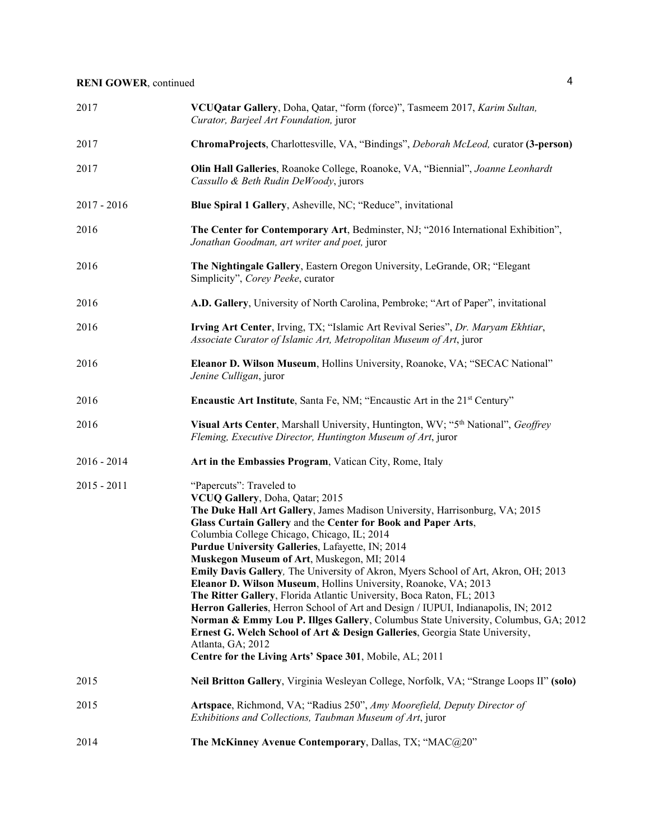| 2017          | VCUQatar Gallery, Doha, Qatar, "form (force)", Tasmeem 2017, Karim Sultan,<br>Curator, Barjeel Art Foundation, juror                                                                                                                                                                                                                                                                                                                                                                                                                                                                                                                                                                                                                                                                                                                                                                                                                     |
|---------------|------------------------------------------------------------------------------------------------------------------------------------------------------------------------------------------------------------------------------------------------------------------------------------------------------------------------------------------------------------------------------------------------------------------------------------------------------------------------------------------------------------------------------------------------------------------------------------------------------------------------------------------------------------------------------------------------------------------------------------------------------------------------------------------------------------------------------------------------------------------------------------------------------------------------------------------|
| 2017          | ChromaProjects, Charlottesville, VA, "Bindings", Deborah McLeod, curator (3-person)                                                                                                                                                                                                                                                                                                                                                                                                                                                                                                                                                                                                                                                                                                                                                                                                                                                      |
| 2017          | Olin Hall Galleries, Roanoke College, Roanoke, VA, "Biennial", Joanne Leonhardt<br>Cassullo & Beth Rudin DeWoody, jurors                                                                                                                                                                                                                                                                                                                                                                                                                                                                                                                                                                                                                                                                                                                                                                                                                 |
| $2017 - 2016$ | Blue Spiral 1 Gallery, Asheville, NC; "Reduce", invitational                                                                                                                                                                                                                                                                                                                                                                                                                                                                                                                                                                                                                                                                                                                                                                                                                                                                             |
| 2016          | The Center for Contemporary Art, Bedminster, NJ; "2016 International Exhibition",<br>Jonathan Goodman, art writer and poet, juror                                                                                                                                                                                                                                                                                                                                                                                                                                                                                                                                                                                                                                                                                                                                                                                                        |
| 2016          | The Nightingale Gallery, Eastern Oregon University, LeGrande, OR; "Elegant<br>Simplicity", Corey Peeke, curator                                                                                                                                                                                                                                                                                                                                                                                                                                                                                                                                                                                                                                                                                                                                                                                                                          |
| 2016          | A.D. Gallery, University of North Carolina, Pembroke; "Art of Paper", invitational                                                                                                                                                                                                                                                                                                                                                                                                                                                                                                                                                                                                                                                                                                                                                                                                                                                       |
| 2016          | Irving Art Center, Irving, TX; "Islamic Art Revival Series", Dr. Maryam Ekhtiar,<br>Associate Curator of Islamic Art, Metropolitan Museum of Art, juror                                                                                                                                                                                                                                                                                                                                                                                                                                                                                                                                                                                                                                                                                                                                                                                  |
| 2016          | Eleanor D. Wilson Museum, Hollins University, Roanoke, VA; "SECAC National"<br>Jenine Culligan, juror                                                                                                                                                                                                                                                                                                                                                                                                                                                                                                                                                                                                                                                                                                                                                                                                                                    |
| 2016          | Encaustic Art Institute, Santa Fe, NM; "Encaustic Art in the 21st Century"                                                                                                                                                                                                                                                                                                                                                                                                                                                                                                                                                                                                                                                                                                                                                                                                                                                               |
| 2016          | Visual Arts Center, Marshall University, Huntington, WV; "5th National", Geoffrey<br>Fleming, Executive Director, Huntington Museum of Art, juror                                                                                                                                                                                                                                                                                                                                                                                                                                                                                                                                                                                                                                                                                                                                                                                        |
| $2016 - 2014$ | Art in the Embassies Program, Vatican City, Rome, Italy                                                                                                                                                                                                                                                                                                                                                                                                                                                                                                                                                                                                                                                                                                                                                                                                                                                                                  |
| $2015 - 2011$ | "Papercuts": Traveled to<br>VCUQ Gallery, Doha, Qatar; 2015<br>The Duke Hall Art Gallery, James Madison University, Harrisonburg, VA; 2015<br>Glass Curtain Gallery and the Center for Book and Paper Arts,<br>Columbia College Chicago, Chicago, IL; 2014<br>Purdue University Galleries, Lafayette, IN; 2014<br>Muskegon Museum of Art, Muskegon, MI; 2014<br>Emily Davis Gallery, The University of Akron, Myers School of Art, Akron, OH; 2013<br>Eleanor D. Wilson Museum, Hollins University, Roanoke, VA; 2013<br>The Ritter Gallery, Florida Atlantic University, Boca Raton, FL; 2013<br>Herron Galleries, Herron School of Art and Design / IUPUI, Indianapolis, IN; 2012<br>Norman & Emmy Lou P. Illges Gallery, Columbus State University, Columbus, GA; 2012<br>Ernest G. Welch School of Art & Design Galleries, Georgia State University,<br>Atlanta, GA; 2012<br>Centre for the Living Arts' Space 301, Mobile, AL; 2011 |
| 2015          | Neil Britton Gallery, Virginia Wesleyan College, Norfolk, VA; "Strange Loops II" (solo)                                                                                                                                                                                                                                                                                                                                                                                                                                                                                                                                                                                                                                                                                                                                                                                                                                                  |
| 2015          | Artspace, Richmond, VA; "Radius 250", Amy Moorefield, Deputy Director of<br>Exhibitions and Collections, Taubman Museum of Art, juror                                                                                                                                                                                                                                                                                                                                                                                                                                                                                                                                                                                                                                                                                                                                                                                                    |
| 2014          | The McKinney Avenue Contemporary, Dallas, TX; "MAC@20"                                                                                                                                                                                                                                                                                                                                                                                                                                                                                                                                                                                                                                                                                                                                                                                                                                                                                   |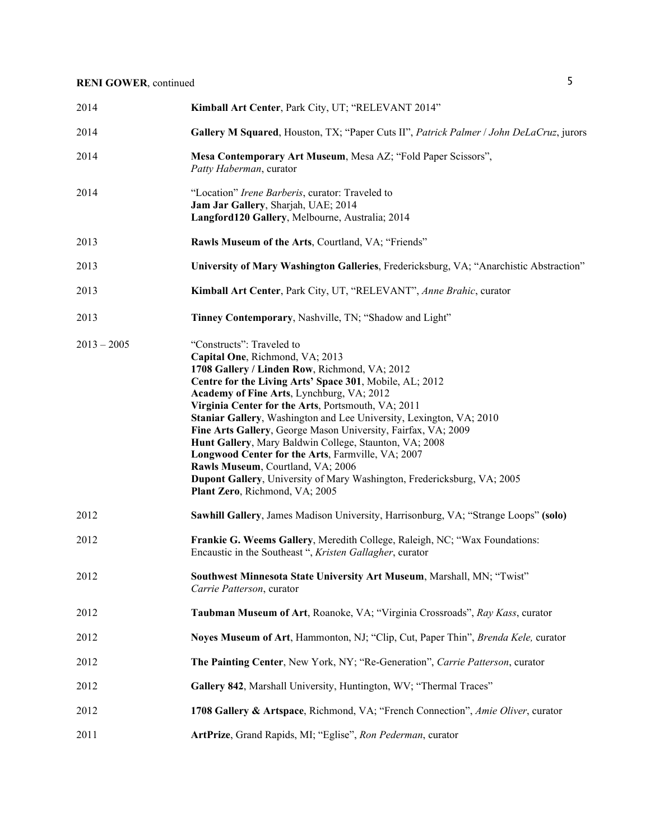| 2014          | Kimball Art Center, Park City, UT; "RELEVANT 2014"                                                                                                                                                                                                                                                                                                                                                                                                                                                                                                                                                                                                                                   |
|---------------|--------------------------------------------------------------------------------------------------------------------------------------------------------------------------------------------------------------------------------------------------------------------------------------------------------------------------------------------------------------------------------------------------------------------------------------------------------------------------------------------------------------------------------------------------------------------------------------------------------------------------------------------------------------------------------------|
| 2014          | Gallery M Squared, Houston, TX; "Paper Cuts II", Patrick Palmer / John DeLaCruz, jurors                                                                                                                                                                                                                                                                                                                                                                                                                                                                                                                                                                                              |
| 2014          | Mesa Contemporary Art Museum, Mesa AZ; "Fold Paper Scissors",<br>Patty Haberman, curator                                                                                                                                                                                                                                                                                                                                                                                                                                                                                                                                                                                             |
| 2014          | "Location" Irene Barberis, curator: Traveled to<br>Jam Jar Gallery, Sharjah, UAE; 2014<br>Langford120 Gallery, Melbourne, Australia; 2014                                                                                                                                                                                                                                                                                                                                                                                                                                                                                                                                            |
| 2013          | Rawls Museum of the Arts, Courtland, VA; "Friends"                                                                                                                                                                                                                                                                                                                                                                                                                                                                                                                                                                                                                                   |
| 2013          | University of Mary Washington Galleries, Fredericksburg, VA; "Anarchistic Abstraction"                                                                                                                                                                                                                                                                                                                                                                                                                                                                                                                                                                                               |
| 2013          | Kimball Art Center, Park City, UT, "RELEVANT", Anne Brahic, curator                                                                                                                                                                                                                                                                                                                                                                                                                                                                                                                                                                                                                  |
| 2013          | Tinney Contemporary, Nashville, TN; "Shadow and Light"                                                                                                                                                                                                                                                                                                                                                                                                                                                                                                                                                                                                                               |
| $2013 - 2005$ | "Constructs": Traveled to<br>Capital One, Richmond, VA; 2013<br>1708 Gallery / Linden Row, Richmond, VA; 2012<br>Centre for the Living Arts' Space 301, Mobile, AL; 2012<br>Academy of Fine Arts, Lynchburg, VA; 2012<br>Virginia Center for the Arts, Portsmouth, VA; 2011<br>Staniar Gallery, Washington and Lee University, Lexington, VA; 2010<br>Fine Arts Gallery, George Mason University, Fairfax, VA; 2009<br>Hunt Gallery, Mary Baldwin College, Staunton, VA; 2008<br>Longwood Center for the Arts, Farmville, VA; 2007<br>Rawls Museum, Courtland, VA; 2006<br>Dupont Gallery, University of Mary Washington, Fredericksburg, VA; 2005<br>Plant Zero, Richmond, VA; 2005 |
| 2012          | Sawhill Gallery, James Madison University, Harrisonburg, VA; "Strange Loops" (solo)                                                                                                                                                                                                                                                                                                                                                                                                                                                                                                                                                                                                  |
| 2012          | Frankie G. Weems Gallery, Meredith College, Raleigh, NC; "Wax Foundations:<br>Encaustic in the Southeast ", Kristen Gallagher, curator                                                                                                                                                                                                                                                                                                                                                                                                                                                                                                                                               |
| 2012          | Southwest Minnesota State University Art Museum, Marshall, MN; "Twist"<br>Carrie Patterson, curator                                                                                                                                                                                                                                                                                                                                                                                                                                                                                                                                                                                  |
| 2012          | Taubman Museum of Art, Roanoke, VA; "Virginia Crossroads", Ray Kass, curator                                                                                                                                                                                                                                                                                                                                                                                                                                                                                                                                                                                                         |
| 2012          | Noyes Museum of Art, Hammonton, NJ; "Clip, Cut, Paper Thin", Brenda Kele, curator                                                                                                                                                                                                                                                                                                                                                                                                                                                                                                                                                                                                    |
| 2012          | The Painting Center, New York, NY; "Re-Generation", Carrie Patterson, curator                                                                                                                                                                                                                                                                                                                                                                                                                                                                                                                                                                                                        |
| 2012          | Gallery 842, Marshall University, Huntington, WV; "Thermal Traces"                                                                                                                                                                                                                                                                                                                                                                                                                                                                                                                                                                                                                   |
| 2012          | 1708 Gallery & Artspace, Richmond, VA; "French Connection", Amie Oliver, curator                                                                                                                                                                                                                                                                                                                                                                                                                                                                                                                                                                                                     |
| 2011          | ArtPrize, Grand Rapids, MI; "Eglise", Ron Pederman, curator                                                                                                                                                                                                                                                                                                                                                                                                                                                                                                                                                                                                                          |
|               |                                                                                                                                                                                                                                                                                                                                                                                                                                                                                                                                                                                                                                                                                      |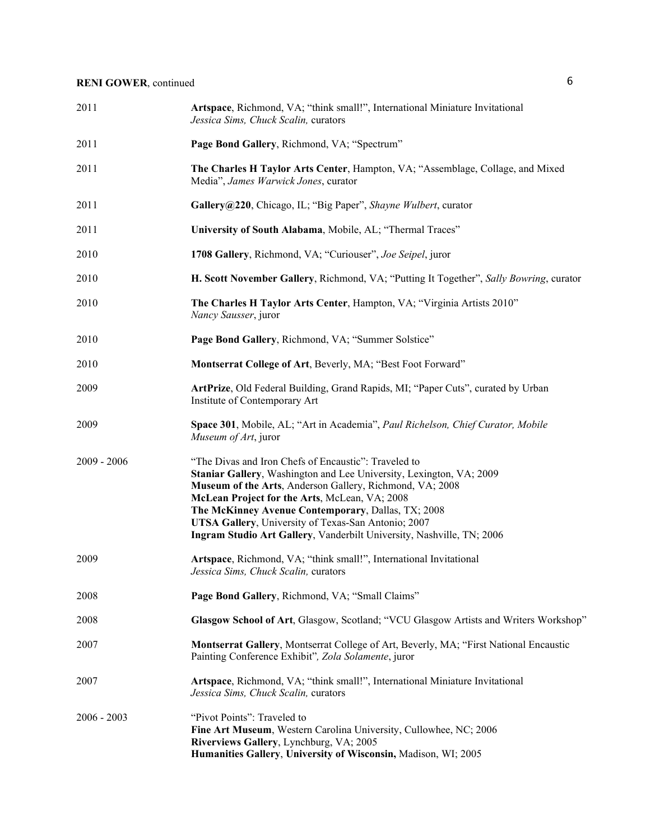| 2011          | Artspace, Richmond, VA; "think small!", International Miniature Invitational<br>Jessica Sims, Chuck Scalin, curators                                                                                                                                                                                                                                                                                                           |
|---------------|--------------------------------------------------------------------------------------------------------------------------------------------------------------------------------------------------------------------------------------------------------------------------------------------------------------------------------------------------------------------------------------------------------------------------------|
| 2011          | Page Bond Gallery, Richmond, VA; "Spectrum"                                                                                                                                                                                                                                                                                                                                                                                    |
| 2011          | The Charles H Taylor Arts Center, Hampton, VA; "Assemblage, Collage, and Mixed<br>Media", James Warwick Jones, curator                                                                                                                                                                                                                                                                                                         |
| 2011          | Gallery@220, Chicago, IL; "Big Paper", Shayne Wulbert, curator                                                                                                                                                                                                                                                                                                                                                                 |
| 2011          | University of South Alabama, Mobile, AL; "Thermal Traces"                                                                                                                                                                                                                                                                                                                                                                      |
| 2010          | 1708 Gallery, Richmond, VA; "Curiouser", Joe Seipel, juror                                                                                                                                                                                                                                                                                                                                                                     |
| 2010          | H. Scott November Gallery, Richmond, VA; "Putting It Together", Sally Bowring, curator                                                                                                                                                                                                                                                                                                                                         |
| 2010          | The Charles H Taylor Arts Center, Hampton, VA; "Virginia Artists 2010"<br>Nancy Sausser, juror                                                                                                                                                                                                                                                                                                                                 |
| 2010          | Page Bond Gallery, Richmond, VA; "Summer Solstice"                                                                                                                                                                                                                                                                                                                                                                             |
| 2010          | Montserrat College of Art, Beverly, MA; "Best Foot Forward"                                                                                                                                                                                                                                                                                                                                                                    |
| 2009          | ArtPrize, Old Federal Building, Grand Rapids, MI; "Paper Cuts", curated by Urban<br>Institute of Contemporary Art                                                                                                                                                                                                                                                                                                              |
| 2009          | Space 301, Mobile, AL; "Art in Academia", Paul Richelson, Chief Curator, Mobile<br>Museum of Art, juror                                                                                                                                                                                                                                                                                                                        |
| $2009 - 2006$ | "The Divas and Iron Chefs of Encaustic": Traveled to<br>Staniar Gallery, Washington and Lee University, Lexington, VA; 2009<br>Museum of the Arts, Anderson Gallery, Richmond, VA; 2008<br>McLean Project for the Arts, McLean, VA; 2008<br>The McKinney Avenue Contemporary, Dallas, TX; 2008<br>UTSA Gallery, University of Texas-San Antonio; 2007<br>Ingram Studio Art Gallery, Vanderbilt University, Nashville, TN; 2006 |
| 2009          | Artspace, Richmond, VA; "think small!", International Invitational<br>Jessica Sims, Chuck Scalin, curators                                                                                                                                                                                                                                                                                                                     |
| 2008          | Page Bond Gallery, Richmond, VA; "Small Claims"                                                                                                                                                                                                                                                                                                                                                                                |
| 2008          | Glasgow School of Art, Glasgow, Scotland; "VCU Glasgow Artists and Writers Workshop"                                                                                                                                                                                                                                                                                                                                           |
| 2007          | Montserrat Gallery, Montserrat College of Art, Beverly, MA; "First National Encaustic<br>Painting Conference Exhibit", Zola Solamente, juror                                                                                                                                                                                                                                                                                   |
| 2007          | Artspace, Richmond, VA; "think small!", International Miniature Invitational<br>Jessica Sims, Chuck Scalin, curators                                                                                                                                                                                                                                                                                                           |
| $2006 - 2003$ | "Pivot Points": Traveled to<br>Fine Art Museum, Western Carolina University, Cullowhee, NC; 2006<br>Riverviews Gallery, Lynchburg, VA; 2005<br>Humanities Gallery, University of Wisconsin, Madison, WI; 2005                                                                                                                                                                                                                  |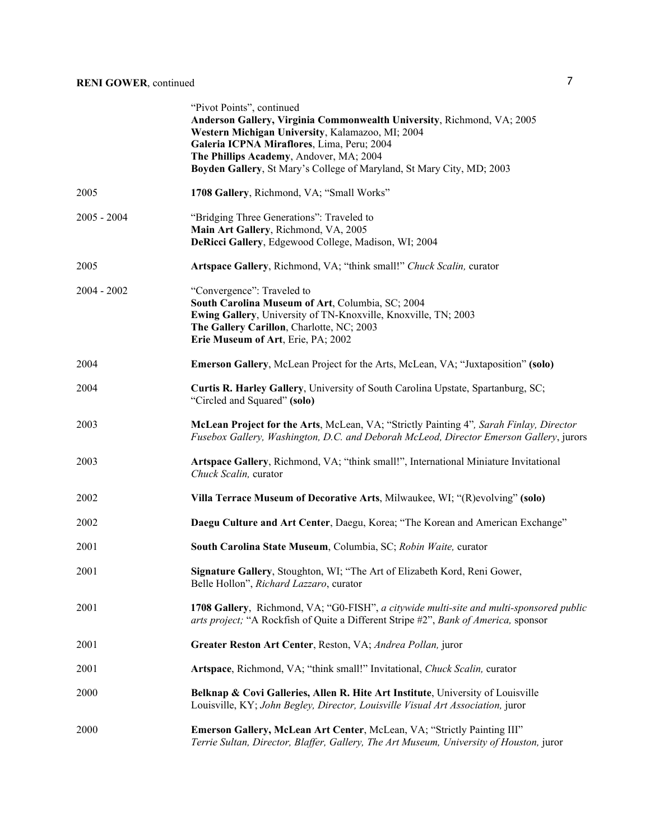|               | "Pivot Points", continued<br>Anderson Gallery, Virginia Commonwealth University, Richmond, VA; 2005<br>Western Michigan University, Kalamazoo, MI; 2004<br>Galeria ICPNA Miraflores, Lima, Peru; 2004<br>The Phillips Academy, Andover, MA; 2004<br>Boyden Gallery, St Mary's College of Maryland, St Mary City, MD; 2003 |
|---------------|---------------------------------------------------------------------------------------------------------------------------------------------------------------------------------------------------------------------------------------------------------------------------------------------------------------------------|
| 2005          | 1708 Gallery, Richmond, VA; "Small Works"                                                                                                                                                                                                                                                                                 |
| $2005 - 2004$ | "Bridging Three Generations": Traveled to<br>Main Art Gallery, Richmond, VA, 2005<br>DeRicci Gallery, Edgewood College, Madison, WI; 2004                                                                                                                                                                                 |
| 2005          | Artspace Gallery, Richmond, VA; "think small!" Chuck Scalin, curator                                                                                                                                                                                                                                                      |
| $2004 - 2002$ | "Convergence": Traveled to<br>South Carolina Museum of Art, Columbia, SC; 2004<br>Ewing Gallery, University of TN-Knoxville, Knoxville, TN; 2003<br>The Gallery Carillon, Charlotte, NC; 2003<br>Erie Museum of Art, Erie, PA; 2002                                                                                       |
| 2004          | Emerson Gallery, McLean Project for the Arts, McLean, VA; "Juxtaposition" (solo)                                                                                                                                                                                                                                          |
| 2004          | Curtis R. Harley Gallery, University of South Carolina Upstate, Spartanburg, SC;<br>"Circled and Squared" (solo)                                                                                                                                                                                                          |
| 2003          | McLean Project for the Arts, McLean, VA; "Strictly Painting 4", Sarah Finlay, Director<br>Fusebox Gallery, Washington, D.C. and Deborah McLeod, Director Emerson Gallery, jurors                                                                                                                                          |
| 2003          | Artspace Gallery, Richmond, VA; "think small!", International Miniature Invitational<br>Chuck Scalin, curator                                                                                                                                                                                                             |
| 2002          | Villa Terrace Museum of Decorative Arts, Milwaukee, WI; "(R)evolving" (solo)                                                                                                                                                                                                                                              |
| 2002          | Daegu Culture and Art Center, Daegu, Korea; "The Korean and American Exchange"                                                                                                                                                                                                                                            |
| 2001          | South Carolina State Museum, Columbia, SC; Robin Waite, curator                                                                                                                                                                                                                                                           |
| 2001          | Signature Gallery, Stoughton, WI; "The Art of Elizabeth Kord, Reni Gower,<br>Belle Hollon", Richard Lazzaro, curator                                                                                                                                                                                                      |
| 2001          | 1708 Gallery, Richmond, VA; "G0-FISH", a citywide multi-site and multi-sponsored public<br>arts project; "A Rockfish of Quite a Different Stripe #2", Bank of America, sponsor                                                                                                                                            |
| 2001          | Greater Reston Art Center, Reston, VA; Andrea Pollan, juror                                                                                                                                                                                                                                                               |
| 2001          | Artspace, Richmond, VA; "think small!" Invitational, Chuck Scalin, curator                                                                                                                                                                                                                                                |
| 2000          | Belknap & Covi Galleries, Allen R. Hite Art Institute, University of Louisville<br>Louisville, KY; John Begley, Director, Louisville Visual Art Association, juror                                                                                                                                                        |
| 2000          | Emerson Gallery, McLean Art Center, McLean, VA; "Strictly Painting III"<br>Terrie Sultan, Director, Blaffer, Gallery, The Art Museum, University of Houston, juror                                                                                                                                                        |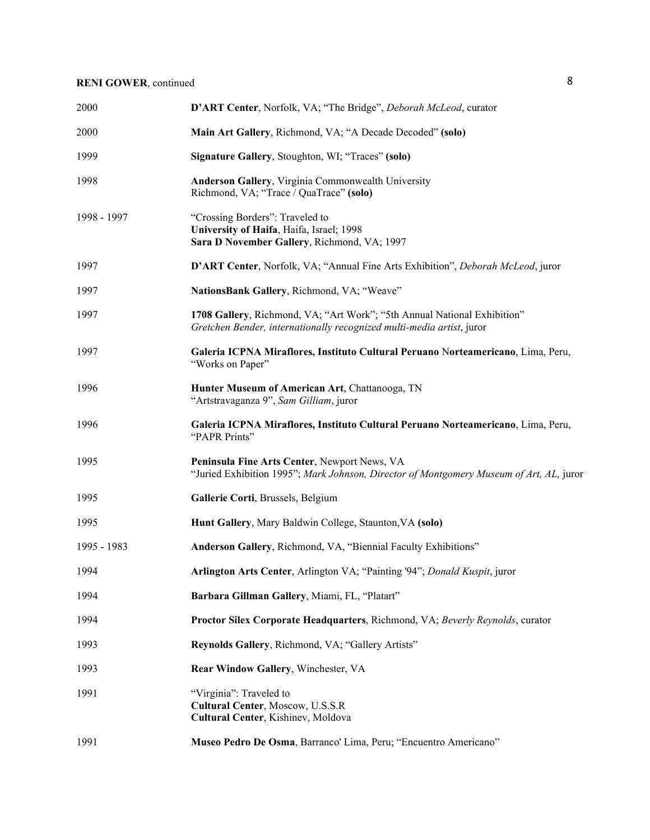| 2000        | D'ART Center, Norfolk, VA; "The Bridge", Deborah McLeod, curator                                                                                  |
|-------------|---------------------------------------------------------------------------------------------------------------------------------------------------|
| 2000        | Main Art Gallery, Richmond, VA; "A Decade Decoded" (solo)                                                                                         |
| 1999        | Signature Gallery, Stoughton, WI; "Traces" (solo)                                                                                                 |
| 1998        | Anderson Gallery, Virginia Commonwealth University<br>Richmond, VA; "Trace / QuaTrace" (solo)                                                     |
| 1998 - 1997 | "Crossing Borders": Traveled to<br>University of Haifa, Haifa, Israel; 1998<br>Sara D November Gallery, Richmond, VA; 1997                        |
| 1997        | D'ART Center, Norfolk, VA; "Annual Fine Arts Exhibition", Deborah McLeod, juror                                                                   |
| 1997        | NationsBank Gallery, Richmond, VA; "Weave"                                                                                                        |
| 1997        | 1708 Gallery, Richmond, VA; "Art Work"; "5th Annual National Exhibition"<br>Gretchen Bender, internationally recognized multi-media artist, juror |
| 1997        | Galeria ICPNA Miraflores, Instituto Cultural Peruano Norteamericano, Lima, Peru,<br>"Works on Paper"                                              |
| 1996        | Hunter Museum of American Art, Chattanooga, TN<br>"Artstravaganza 9", Sam Gilliam, juror                                                          |
| 1996        | Galeria ICPNA Miraflores, Instituto Cultural Peruano Norteamericano, Lima, Peru,<br>"PAPR Prints"                                                 |
| 1995        | Peninsula Fine Arts Center, Newport News, VA<br>"Juried Exhibition 1995"; Mark Johnson, Director of Montgomery Museum of Art, AL, juror           |
| 1995        | Gallerie Corti, Brussels, Belgium                                                                                                                 |
| 1995        | Hunt Gallery, Mary Baldwin College, Staunton, VA (solo)                                                                                           |
| 1995 - 1983 | Anderson Gallery, Richmond, VA, "Biennial Faculty Exhibitions"                                                                                    |
| 1994        | Arlington Arts Center, Arlington VA; "Painting '94"; Donald Kuspit, juror                                                                         |
| 1994        | Barbara Gillman Gallery, Miami, FL, "Platart"                                                                                                     |
| 1994        | Proctor Silex Corporate Headquarters, Richmond, VA; Beverly Reynolds, curator                                                                     |
| 1993        | Reynolds Gallery, Richmond, VA; "Gallery Artists"                                                                                                 |
| 1993        | Rear Window Gallery, Winchester, VA                                                                                                               |
| 1991        | "Virginia": Traveled to<br>Cultural Center, Moscow, U.S.S.R.<br>Cultural Center, Kishinev, Moldova                                                |
| 1991        | Museo Pedro De Osma, Barranco' Lima, Peru; "Encuentro Americano"                                                                                  |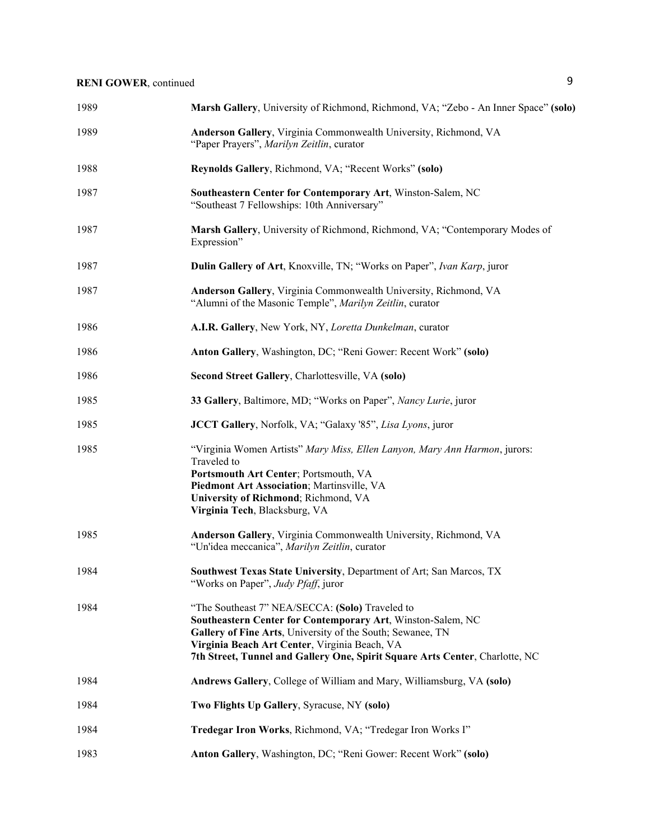| 1989 | Marsh Gallery, University of Richmond, Richmond, VA; "Zebo - An Inner Space" (solo)                                                                                                                                                                                                                           |
|------|---------------------------------------------------------------------------------------------------------------------------------------------------------------------------------------------------------------------------------------------------------------------------------------------------------------|
| 1989 | Anderson Gallery, Virginia Commonwealth University, Richmond, VA<br>"Paper Prayers", Marilyn Zeitlin, curator                                                                                                                                                                                                 |
| 1988 | Reynolds Gallery, Richmond, VA; "Recent Works" (solo)                                                                                                                                                                                                                                                         |
| 1987 | Southeastern Center for Contemporary Art, Winston-Salem, NC<br>"Southeast 7 Fellowships: 10th Anniversary"                                                                                                                                                                                                    |
| 1987 | Marsh Gallery, University of Richmond, Richmond, VA; "Contemporary Modes of<br>Expression"                                                                                                                                                                                                                    |
| 1987 | Dulin Gallery of Art, Knoxville, TN; "Works on Paper", Ivan Karp, juror                                                                                                                                                                                                                                       |
| 1987 | Anderson Gallery, Virginia Commonwealth University, Richmond, VA<br>"Alumni of the Masonic Temple", Marilyn Zeitlin, curator                                                                                                                                                                                  |
| 1986 | A.I.R. Gallery, New York, NY, Loretta Dunkelman, curator                                                                                                                                                                                                                                                      |
| 1986 | Anton Gallery, Washington, DC; "Reni Gower: Recent Work" (solo)                                                                                                                                                                                                                                               |
| 1986 | Second Street Gallery, Charlottesville, VA (solo)                                                                                                                                                                                                                                                             |
| 1985 | 33 Gallery, Baltimore, MD; "Works on Paper", Nancy Lurie, juror                                                                                                                                                                                                                                               |
| 1985 | JCCT Gallery, Norfolk, VA; "Galaxy '85", Lisa Lyons, juror                                                                                                                                                                                                                                                    |
| 1985 | "Virginia Women Artists" Mary Miss, Ellen Lanyon, Mary Ann Harmon, jurors:<br>Traveled to<br>Portsmouth Art Center; Portsmouth, VA<br>Piedmont Art Association; Martinsville, VA<br>University of Richmond; Richmond, VA<br>Virginia Tech, Blacksburg, VA                                                     |
| 1985 | Anderson Gallery, Virginia Commonwealth University, Richmond, VA<br>"Un'idea meccanica", Marilyn Zeitlin, curator                                                                                                                                                                                             |
| 1984 | Southwest Texas State University, Department of Art; San Marcos, TX<br>"Works on Paper", Judy Pfaff, juror                                                                                                                                                                                                    |
| 1984 | "The Southeast 7" NEA/SECCA: (Solo) Traveled to<br>Southeastern Center for Contemporary Art, Winston-Salem, NC<br>Gallery of Fine Arts, University of the South; Sewanee, TN<br>Virginia Beach Art Center, Virginia Beach, VA<br>7th Street, Tunnel and Gallery One, Spirit Square Arts Center, Charlotte, NC |
| 1984 | Andrews Gallery, College of William and Mary, Williamsburg, VA (solo)                                                                                                                                                                                                                                         |
| 1984 | Two Flights Up Gallery, Syracuse, NY (solo)                                                                                                                                                                                                                                                                   |
| 1984 | Tredegar Iron Works, Richmond, VA; "Tredegar Iron Works I"                                                                                                                                                                                                                                                    |
| 1983 | Anton Gallery, Washington, DC; "Reni Gower: Recent Work" (solo)                                                                                                                                                                                                                                               |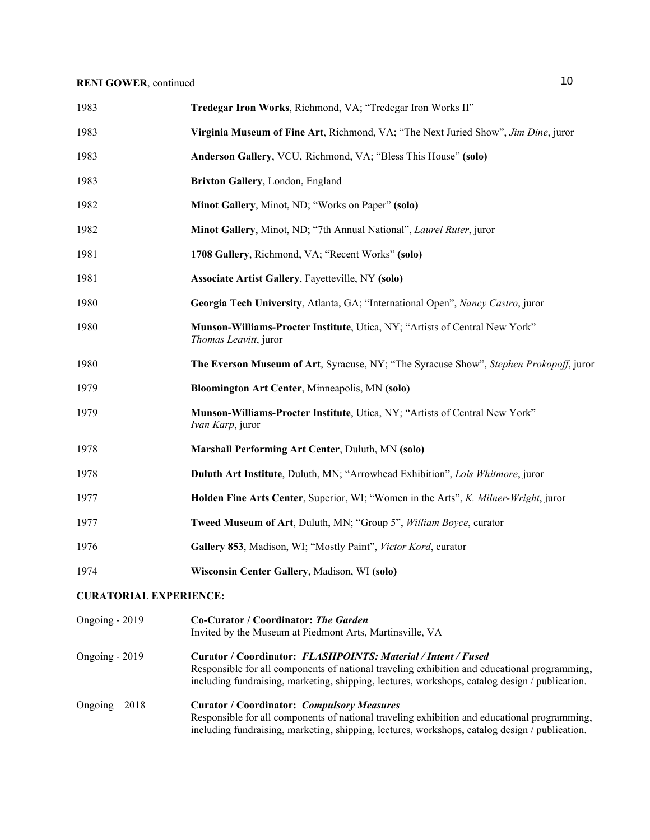| 1983 | Tredegar Iron Works, Richmond, VA; "Tredegar Iron Works II"                                          |
|------|------------------------------------------------------------------------------------------------------|
| 1983 | Virginia Museum of Fine Art, Richmond, VA; "The Next Juried Show", Jim Dine, juror                   |
| 1983 | Anderson Gallery, VCU, Richmond, VA; "Bless This House" (solo)                                       |
| 1983 | Brixton Gallery, London, England                                                                     |
| 1982 | Minot Gallery, Minot, ND; "Works on Paper" (solo)                                                    |
| 1982 | Minot Gallery, Minot, ND; "7th Annual National", Laurel Ruter, juror                                 |
| 1981 | 1708 Gallery, Richmond, VA; "Recent Works" (solo)                                                    |
| 1981 | <b>Associate Artist Gallery, Fayetteville, NY (solo)</b>                                             |
| 1980 | Georgia Tech University, Atlanta, GA; "International Open", Nancy Castro, juror                      |
| 1980 | Munson-Williams-Procter Institute, Utica, NY; "Artists of Central New York"<br>Thomas Leavitt, juror |
| 1980 | The Everson Museum of Art, Syracuse, NY; "The Syracuse Show", Stephen Prokopoff, juror               |
| 1979 | Bloomington Art Center, Minneapolis, MN (solo)                                                       |
| 1979 | Munson-Williams-Procter Institute, Utica, NY; "Artists of Central New York"<br>Ivan Karp, juror      |
| 1978 | Marshall Performing Art Center, Duluth, MN (solo)                                                    |
| 1978 | Duluth Art Institute, Duluth, MN; "Arrowhead Exhibition", Lois Whitmore, juror                       |
| 1977 | Holden Fine Arts Center, Superior, WI; "Women in the Arts", K. Milner-Wright, juror                  |
| 1977 | Tweed Museum of Art, Duluth, MN; "Group 5", William Boyce, curator                                   |
| 1976 | Gallery 853, Madison, WI; "Mostly Paint", Victor Kord, curator                                       |
| 1974 | Wisconsin Center Gallery, Madison, WI (solo)                                                         |

## **CURATORIAL EXPERIENCE:**

| Ongoing - 2019  | Co-Curator / Coordinator: The Garden<br>Invited by the Museum at Piedmont Arts, Martinsville, VA                                                                                                                                                                |
|-----------------|-----------------------------------------------------------------------------------------------------------------------------------------------------------------------------------------------------------------------------------------------------------------|
| Ongoing $-2019$ | Curator / Coordinator: FLASHPOINTS: Material / Intent / Fused<br>Responsible for all components of national traveling exhibition and educational programming,<br>including fundraising, marketing, shipping, lectures, workshops, catalog design / publication. |
| Ongoing $-2018$ | <b>Curator / Coordinator: Compulsory Measures</b><br>Responsible for all components of national traveling exhibition and educational programming,<br>including fundraising, marketing, shipping, lectures, workshops, catalog design / publication.             |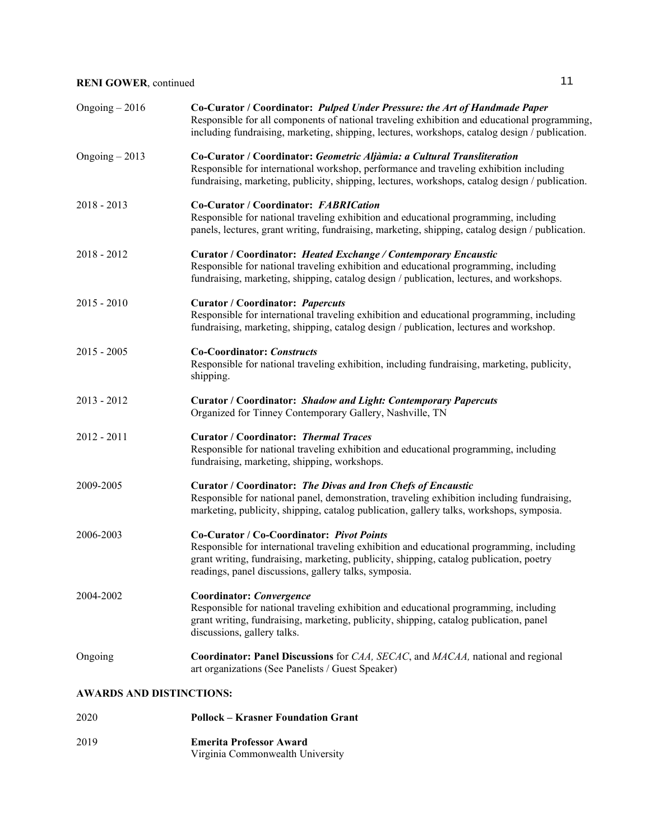| Ongoing $-2016$ | Co-Curator / Coordinator: Pulped Under Pressure: the Art of Handmade Paper<br>Responsible for all components of national traveling exhibition and educational programming,<br>including fundraising, marketing, shipping, lectures, workshops, catalog design / publication.               |
|-----------------|--------------------------------------------------------------------------------------------------------------------------------------------------------------------------------------------------------------------------------------------------------------------------------------------|
| Ongoing $-2013$ | Co-Curator / Coordinator: Geometric Aljàmia: a Cultural Transliteration<br>Responsible for international workshop, performance and traveling exhibition including<br>fundraising, marketing, publicity, shipping, lectures, workshops, catalog design / publication.                       |
| $2018 - 2013$   | Co-Curator / Coordinator: FABRICation<br>Responsible for national traveling exhibition and educational programming, including<br>panels, lectures, grant writing, fundraising, marketing, shipping, catalog design / publication.                                                          |
| 2018 - 2012     | Curator / Coordinator: Heated Exchange / Contemporary Encaustic<br>Responsible for national traveling exhibition and educational programming, including<br>fundraising, marketing, shipping, catalog design / publication, lectures, and workshops.                                        |
| $2015 - 2010$   | <b>Curator / Coordinator: Papercuts</b><br>Responsible for international traveling exhibition and educational programming, including<br>fundraising, marketing, shipping, catalog design / publication, lectures and workshop.                                                             |
| $2015 - 2005$   | <b>Co-Coordinator: Constructs</b><br>Responsible for national traveling exhibition, including fundraising, marketing, publicity,<br>shipping.                                                                                                                                              |
| $2013 - 2012$   | Curator / Coordinator: Shadow and Light: Contemporary Papercuts<br>Organized for Tinney Contemporary Gallery, Nashville, TN                                                                                                                                                                |
| $2012 - 2011$   | <b>Curator / Coordinator: Thermal Traces</b><br>Responsible for national traveling exhibition and educational programming, including<br>fundraising, marketing, shipping, workshops.                                                                                                       |
| 2009-2005       | Curator / Coordinator: The Divas and Iron Chefs of Encaustic<br>Responsible for national panel, demonstration, traveling exhibition including fundraising,<br>marketing, publicity, shipping, catalog publication, gallery talks, workshops, symposia.                                     |
| 2006-2003       | Co-Curator / Co-Coordinator: Pivot Points<br>Responsible for international traveling exhibition and educational programming, including<br>grant writing, fundraising, marketing, publicity, shipping, catalog publication, poetry<br>readings, panel discussions, gallery talks, symposia. |
| 2004-2002       | Coordinator: Convergence<br>Responsible for national traveling exhibition and educational programming, including<br>grant writing, fundraising, marketing, publicity, shipping, catalog publication, panel<br>discussions, gallery talks.                                                  |
| Ongoing         | Coordinator: Panel Discussions for CAA, SECAC, and MACAA, national and regional<br>art organizations (See Panelists / Guest Speaker)                                                                                                                                                       |
|                 |                                                                                                                                                                                                                                                                                            |

#### **AWARDS AND DISTINCTIONS:**

2020 **Pollock – Krasner Foundation Grant** 2019 **Emerita Professor Award** Virginia Commonwealth University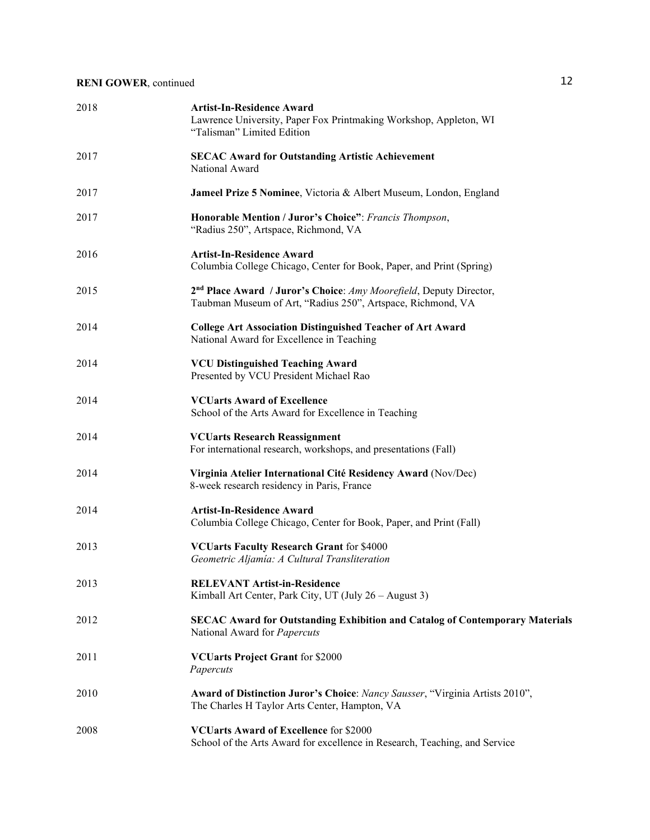| 2018 | <b>Artist-In-Residence Award</b><br>Lawrence University, Paper Fox Printmaking Workshop, Appleton, WI<br>"Talisman" Limited Edition           |
|------|-----------------------------------------------------------------------------------------------------------------------------------------------|
| 2017 | <b>SECAC Award for Outstanding Artistic Achievement</b><br>National Award                                                                     |
| 2017 | Jameel Prize 5 Nominee, Victoria & Albert Museum, London, England                                                                             |
| 2017 | Honorable Mention / Juror's Choice": Francis Thompson,<br>"Radius 250", Artspace, Richmond, VA                                                |
| 2016 | <b>Artist-In-Residence Award</b><br>Columbia College Chicago, Center for Book, Paper, and Print (Spring)                                      |
| 2015 | 2 <sup>nd</sup> Place Award / Juror's Choice: Amy Moorefield, Deputy Director,<br>Taubman Museum of Art, "Radius 250", Artspace, Richmond, VA |
| 2014 | <b>College Art Association Distinguished Teacher of Art Award</b><br>National Award for Excellence in Teaching                                |
| 2014 | <b>VCU Distinguished Teaching Award</b><br>Presented by VCU President Michael Rao                                                             |
| 2014 | <b>VCUarts Award of Excellence</b><br>School of the Arts Award for Excellence in Teaching                                                     |
| 2014 | <b>VCUarts Research Reassignment</b><br>For international research, workshops, and presentations (Fall)                                       |
| 2014 | Virginia Atelier International Cité Residency Award (Nov/Dec)<br>8-week research residency in Paris, France                                   |
| 2014 | <b>Artist-In-Residence Award</b><br>Columbia College Chicago, Center for Book, Paper, and Print (Fall)                                        |
| 2013 | <b>VCUarts Faculty Research Grant for \$4000</b><br>Geometric Aljamía: A Cultural Transliteration                                             |
| 2013 | <b>RELEVANT Artist-in-Residence</b><br>Kimball Art Center, Park City, UT (July 26 – August 3)                                                 |
| 2012 | <b>SECAC Award for Outstanding Exhibition and Catalog of Contemporary Materials</b><br>National Award for Papercuts                           |
| 2011 | <b>VCUarts Project Grant for \$2000</b><br>Papercuts                                                                                          |
| 2010 | Award of Distinction Juror's Choice: Nancy Sausser, "Virginia Artists 2010",<br>The Charles H Taylor Arts Center, Hampton, VA                 |
| 2008 | <b>VCUarts Award of Excellence for \$2000</b><br>School of the Arts Award for excellence in Research, Teaching, and Service                   |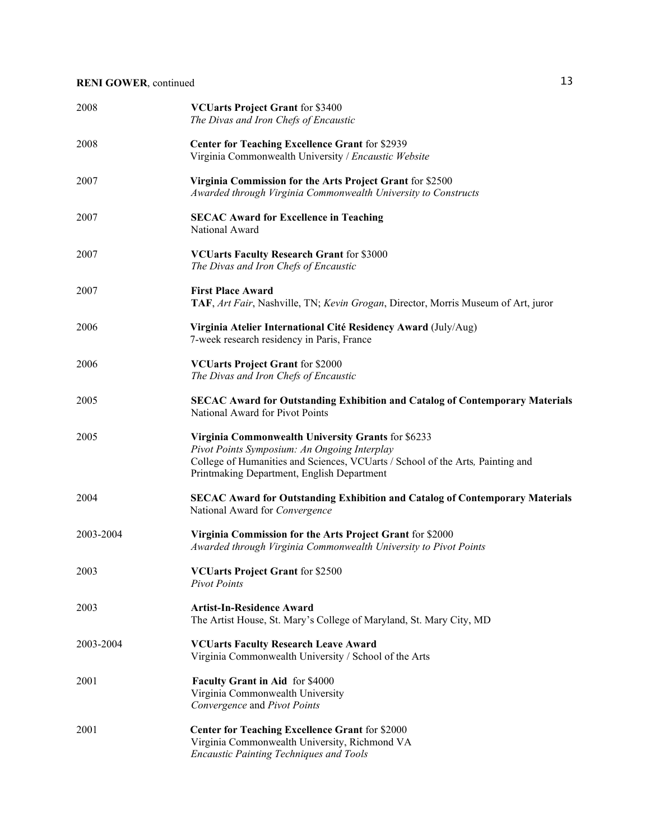| 2008      | <b>VCUarts Project Grant for \$3400</b><br>The Divas and Iron Chefs of Encaustic                                                                                                                                                   |
|-----------|------------------------------------------------------------------------------------------------------------------------------------------------------------------------------------------------------------------------------------|
| 2008      | <b>Center for Teaching Excellence Grant for \$2939</b><br>Virginia Commonwealth University / Encaustic Website                                                                                                                     |
| 2007      | Virginia Commission for the Arts Project Grant for \$2500<br>Awarded through Virginia Commonwealth University to Constructs                                                                                                        |
| 2007      | <b>SECAC Award for Excellence in Teaching</b><br>National Award                                                                                                                                                                    |
| 2007      | <b>VCUarts Faculty Research Grant for \$3000</b><br>The Divas and Iron Chefs of Encaustic                                                                                                                                          |
| 2007      | <b>First Place Award</b><br>TAF, Art Fair, Nashville, TN; Kevin Grogan, Director, Morris Museum of Art, juror                                                                                                                      |
| 2006      | Virginia Atelier International Cité Residency Award (July/Aug)<br>7-week research residency in Paris, France                                                                                                                       |
| 2006      | <b>VCUarts Project Grant for \$2000</b><br>The Divas and Iron Chefs of Encaustic                                                                                                                                                   |
| 2005      | <b>SECAC Award for Outstanding Exhibition and Catalog of Contemporary Materials</b><br>National Award for Pivot Points                                                                                                             |
| 2005      | Virginia Commonwealth University Grants for \$6233<br>Pivot Points Symposium: An Ongoing Interplay<br>College of Humanities and Sciences, VCUarts / School of the Arts, Painting and<br>Printmaking Department, English Department |
| 2004      | <b>SECAC Award for Outstanding Exhibition and Catalog of Contemporary Materials</b><br>National Award for Convergence                                                                                                              |
| 2003-2004 | Virginia Commission for the Arts Project Grant for \$2000<br>Awarded through Virginia Commonwealth University to Pivot Points                                                                                                      |
| 2003      | <b>VCUarts Project Grant for \$2500</b><br><b>Pivot Points</b>                                                                                                                                                                     |
| 2003      | <b>Artist-In-Residence Award</b><br>The Artist House, St. Mary's College of Maryland, St. Mary City, MD                                                                                                                            |
| 2003-2004 | <b>VCUarts Faculty Research Leave Award</b><br>Virginia Commonwealth University / School of the Arts                                                                                                                               |
| 2001      | Faculty Grant in Aid for \$4000<br>Virginia Commonwealth University<br>Convergence and Pivot Points                                                                                                                                |
| 2001      | <b>Center for Teaching Excellence Grant for \$2000</b><br>Virginia Commonwealth University, Richmond VA<br><b>Encaustic Painting Techniques and Tools</b>                                                                          |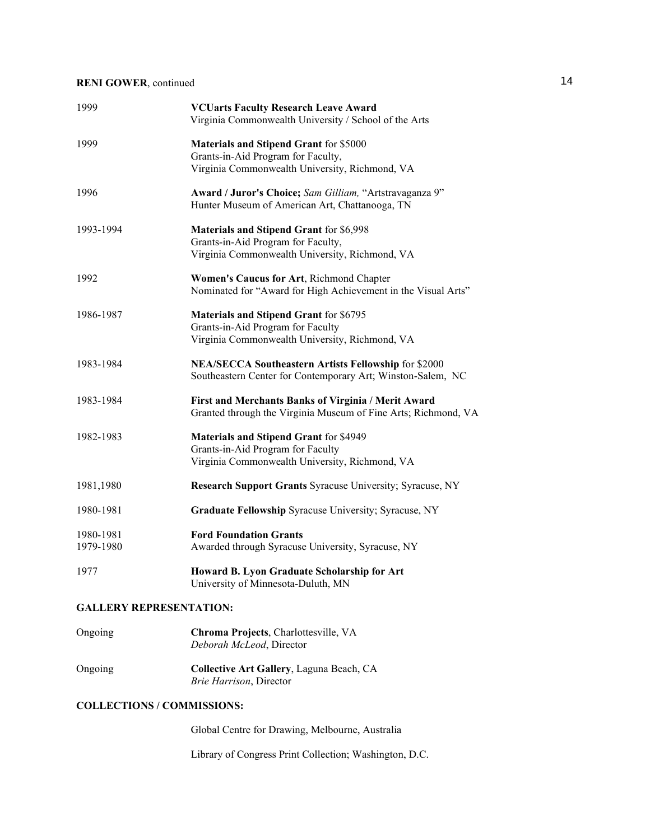| 1999                   | <b>VCUarts Faculty Research Leave Award</b><br>Virginia Commonwealth University / School of the Arts                                   |
|------------------------|----------------------------------------------------------------------------------------------------------------------------------------|
| 1999                   | <b>Materials and Stipend Grant for \$5000</b><br>Grants-in-Aid Program for Faculty,<br>Virginia Commonwealth University, Richmond, VA  |
| 1996                   | Award / Juror's Choice; Sam Gilliam, "Artstravaganza 9"<br>Hunter Museum of American Art, Chattanooga, TN                              |
| 1993-1994              | <b>Materials and Stipend Grant for \$6,998</b><br>Grants-in-Aid Program for Faculty,<br>Virginia Commonwealth University, Richmond, VA |
| 1992                   | Women's Caucus for Art, Richmond Chapter<br>Nominated for "Award for High Achievement in the Visual Arts"                              |
| 1986-1987              | <b>Materials and Stipend Grant for \$6795</b><br>Grants-in-Aid Program for Faculty<br>Virginia Commonwealth University, Richmond, VA   |
| 1983-1984              | NEA/SECCA Southeastern Artists Fellowship for \$2000<br>Southeastern Center for Contemporary Art; Winston-Salem, NC                    |
| 1983-1984              | First and Merchants Banks of Virginia / Merit Award<br>Granted through the Virginia Museum of Fine Arts; Richmond, VA                  |
| 1982-1983              | <b>Materials and Stipend Grant for \$4949</b><br>Grants-in-Aid Program for Faculty<br>Virginia Commonwealth University, Richmond, VA   |
| 1981,1980              | Research Support Grants Syracuse University; Syracuse, NY                                                                              |
| 1980-1981              | Graduate Fellowship Syracuse University; Syracuse, NY                                                                                  |
| 1980-1981<br>1979-1980 | <b>Ford Foundation Grants</b><br>Awarded through Syracuse University, Syracuse, NY                                                     |
| 1977                   | Howard B. Lyon Graduate Scholarship for Art<br>University of Minnesota-Duluth, MN                                                      |
|                        |                                                                                                                                        |

## **GALLERY REPRESENTATION:**

| Ongoing | Chroma Projects, Charlottesville, VA<br>Deborah McLeod, Director            |
|---------|-----------------------------------------------------------------------------|
| Ongoing | Collective Art Gallery, Laguna Beach, CA<br><i>Brie Harrison</i> , Director |

### **COLLECTIONS / COMMISSIONS:**

Global Centre for Drawing, Melbourne, Australia

Library of Congress Print Collection; Washington, D.C.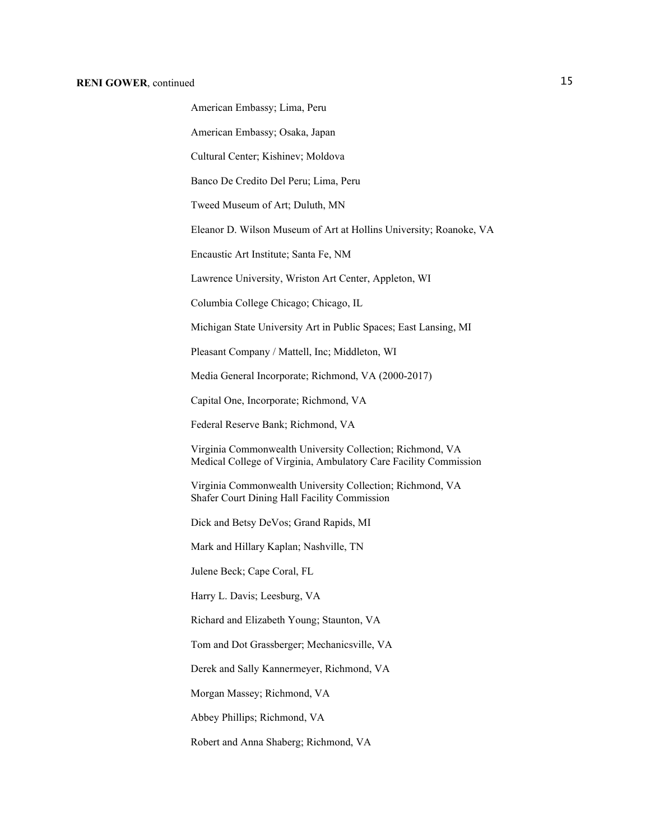American Embassy; Osaka, Japan

Cultural Center; Kishinev; Moldova

Banco De Credito Del Peru; Lima, Peru

Tweed Museum of Art; Duluth, MN

Eleanor D. Wilson Museum of Art at Hollins University; Roanoke, VA

Encaustic Art Institute; Santa Fe, NM

Lawrence University, Wriston Art Center, Appleton, WI

Columbia College Chicago; Chicago, IL

Michigan State University Art in Public Spaces; East Lansing, MI

Pleasant Company / Mattell, Inc; Middleton, WI

Media General Incorporate; Richmond, VA (2000-2017)

Capital One, Incorporate; Richmond, VA

Federal Reserve Bank; Richmond, VA

Virginia Commonwealth University Collection; Richmond, VA Medical College of Virginia, Ambulatory Care Facility Commission

Virginia Commonwealth University Collection; Richmond, VA Shafer Court Dining Hall Facility Commission

Dick and Betsy DeVos; Grand Rapids, MI

Mark and Hillary Kaplan; Nashville, TN

Julene Beck; Cape Coral, FL

Harry L. Davis; Leesburg, VA

Richard and Elizabeth Young; Staunton, VA

Tom and Dot Grassberger; Mechanicsville, VA

Derek and Sally Kannermeyer, Richmond, VA

Morgan Massey; Richmond, VA

Abbey Phillips; Richmond, VA

Robert and Anna Shaberg; Richmond, VA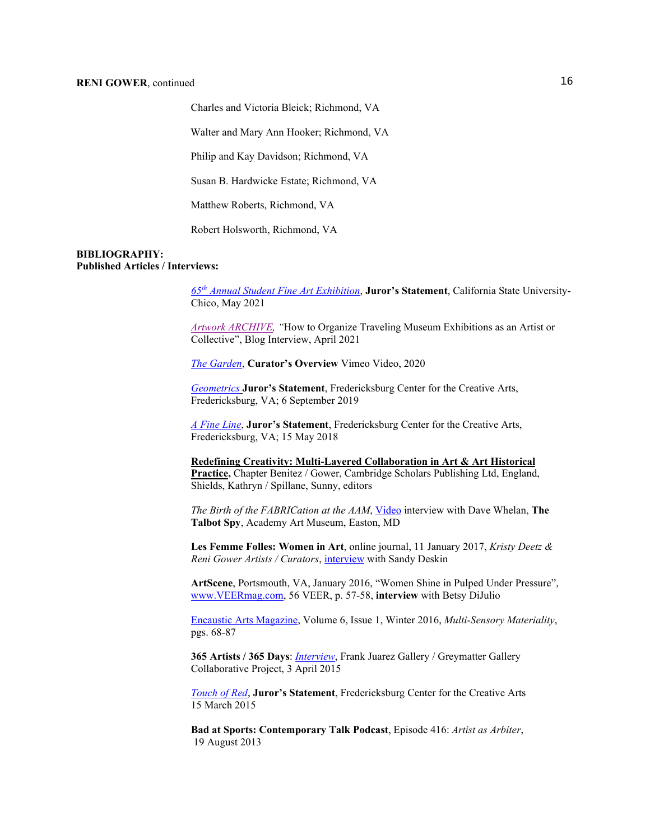Charles and Victoria Bleick; Richmond, VA

Walter and Mary Ann Hooker; Richmond, VA

Philip and Kay Davidson; Richmond, VA

Susan B. Hardwicke Estate; Richmond, VA

Matthew Roberts, Richmond, VA

Robert Holsworth, Richmond, VA

#### **BIBLIOGRAPHY: Published Articles / Interviews:**

*65th [Annual Student Fine Art Exhibition](https://headleygallerycsuchico.com/portfolio/65th-annual-juried-student-exhibition-2/)*, **Juror's Statement**, California State University-Chico, May 2021

*[Artwork ARCHIVE,](https://www.artworkarchive.com/blog/how-to-organize-traveling-museum-exhibitions-as-an-artist-or-collective) "*How to Organize Traveling Museum Exhibitions as an Artist or Collective", Blog Interview, April 2021

*[The Garden](https://vimeo.com/473654796)*, **Curator's Overview** Vimeo Video, 2020

*[Geometrics](https://fccagallery.org/frederick-gallery-september-2019/)* **Juror's Statement**, Fredericksburg Center for the Creative Arts, Fredericksburg, VA; 6 September 2019

*[A Fine Line](https://fccagallery.org/frederick-gallery-may-2018/)*, **Juror's Statement**, Fredericksburg Center for the Creative Arts, Fredericksburg, VA; 15 May 2018

**Redefining Creativity: Multi-Layered Collaboration in Art & Art Historical Practice,** Chapter Benitez / Gower, Cambridge Scholars Publishing Ltd, England, Shields, Kathryn / Spillane, Sunny, editors

*The Birth of the FABRICation at the AAM*[, Video](http://talbotspy.org/the-birth-of-the-fabrication-at-the-aam/) interview with Dave Whelan, **The Talbot Spy**, Academy Art Museum, Easton, MD

**Les Femme Folles: Women in Art**, online journal, 11 January 2017, *Kristy Deetz & Reni Gower Artists / Curators*[, interview](http://femmesfollesnebraska.tumblr.com/post/155725899252/kristy-deetz-reni-gower-artistscurators) with Sandy Deskin

**ArtScene**, Portsmouth, VA, January 2016, "Women Shine in Pulped Under Pressure", [www.VEERmag.com,](http://www.veermag.com/) 56 VEER, p. 57-58, **interview** with Betsy DiJulio

[Encaustic Arts Magazine,](http://www.eainm.com/encaustic-arts-magazine/) Volume 6, Issue 1, Winter 2016, *Multi-Sensory Materiality*, pgs. 68-87

**365 Artists / 365 Days**: *[Interview](http://365artists365days.com/2015/04/03/reni-gower-mechanicsville-virginia/)*, Frank Juarez Gallery / Greymatter Gallery Collaborative Project, 3 April 2015

*[Touch of Red](http://www.fccava.org/main_gal/3-15/)*, **Juror's Statement**, Fredericksburg Center for the Creative Arts 15 March 2015

**Bad at Sports: Contemporary Talk Podcast**, Episode 416: *Artist as Arbiter*, 19 August 2013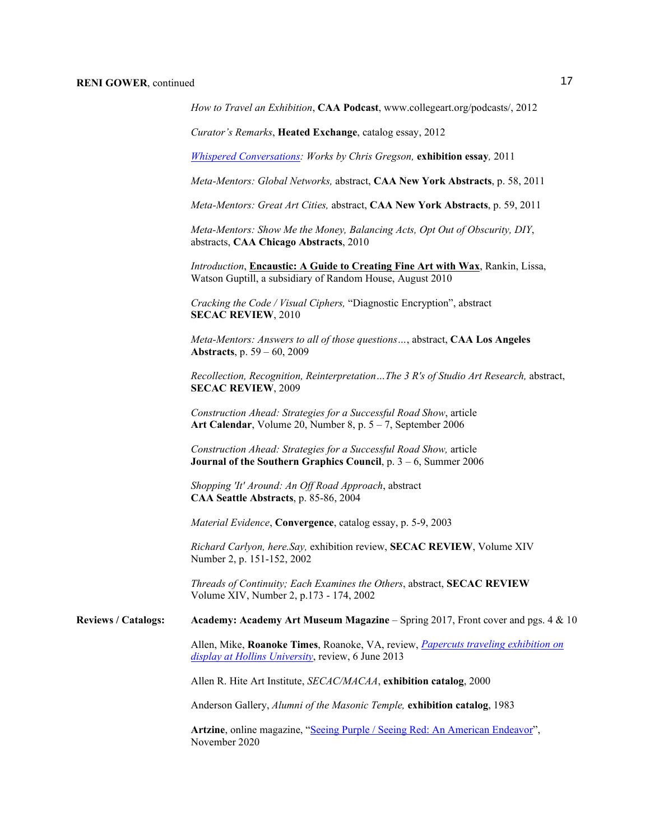*How to Travel an Exhibition*, **CAA Podcast**, www.collegeart.org/podcasts/, 2012

*Curator's Remarks*, **Heated Exchange**, catalog essay, 2012

*[Whispered Conversations:](http://www.reynoldsgallery.com/wp-content/uploads/2011/09/Whispered-Conversations-for-website.pdf) Works by Chris Gregson,* **exhibition essay***,* 2011

*Meta-Mentors: Global Networks,* abstract, **CAA New York Abstracts**, p. 58, 2011

*Meta-Mentors: Great Art Cities,* abstract, **CAA New York Abstracts**, p. 59, 2011

*Meta-Mentors: Show Me the Money, Balancing Acts, Opt Out of Obscurity, DIY*, abstracts, **CAA Chicago Abstracts**, 2010

*Introduction*, **Encaustic: A Guide to Creating Fine Art with Wax**, Rankin, Lissa, Watson Guptill, a subsidiary of Random House, August 2010

*Cracking the Code / Visual Ciphers,* "Diagnostic Encryption", abstract **SECAC REVIEW**, 2010

*Meta-Mentors: Answers to all of those questions…*, abstract, **CAA Los Angeles Abstracts**, p. 59 – 60, 2009

*Recollection, Recognition, Reinterpretation…The 3 R's of Studio Art Research,* abstract, **SECAC REVIEW**, 2009

*Construction Ahead: Strategies for a Successful Road Show*, article **Art Calendar**, Volume 20, Number 8, p. 5 – 7, September 2006

*Construction Ahead: Strategies for a Successful Road Show,* article **Journal of the Southern Graphics Council**, p. 3 – 6, Summer 2006

*Shopping 'It' Around: An Off Road Approach*, abstract **CAA Seattle Abstracts**, p. 85-86, 2004

*Material Evidence*, **Convergence**, catalog essay, p. 5-9, 2003

*Richard Carlyon, here.Say,* exhibition review, **SECAC REVIEW**, Volume XIV Number 2, p. 151-152, 2002

*Threads of Continuity; Each Examines the Others*, abstract, **SECAC REVIEW** Volume XIV, Number 2, p.173 - 174, 2002

**Reviews / Catalogs: Academy: Academy Art Museum Magazine** – Spring 2017, Front cover and pgs. 4 & 10

Allen, Mike, **Roanoke Times**, Roanoke, VA, review, *[Papercuts traveling exhibition on](http://www.roanoke.com/living/arts/1980527-12/papercuts-traveling-exhibition-on-display-at-hollins-university.html)  [display at Hollins University](http://www.roanoke.com/living/arts/1980527-12/papercuts-traveling-exhibition-on-display-at-hollins-university.html)*, review, 6 June 2013

Allen R. Hite Art Institute, *SECAC/MACAA*, **exhibition catalog**, 2000

Anderson Gallery, *Alumni of the Masonic Temple,* **exhibition catalog**, 1983

Artzine, online magazine, ["Seeing Purple / Seeing Red: An American Endeavor"](https://artzine.com/articles/seeing-purple-seeing-red-an-american-endeavor), November 2020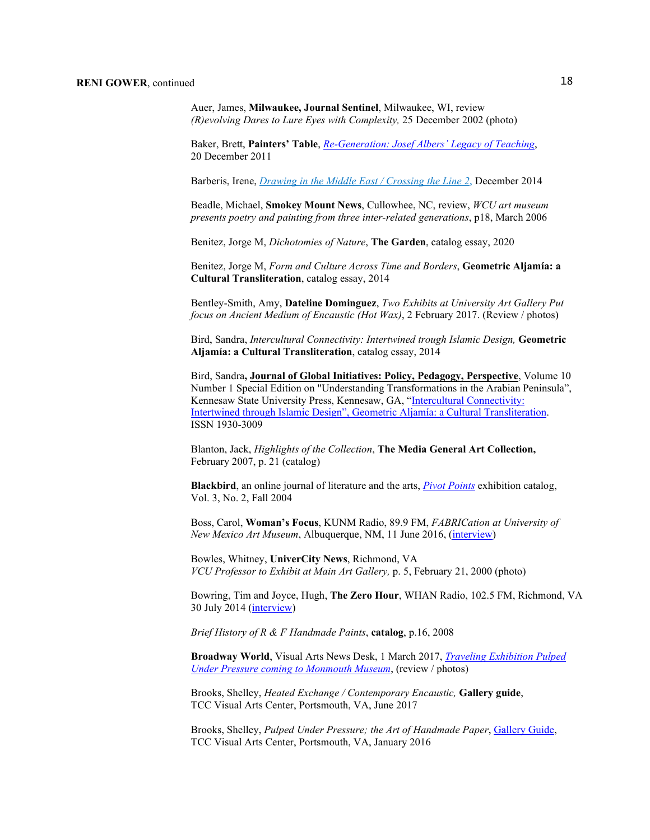Auer, James, **Milwaukee, Journal Sentinel**, Milwaukee, WI, review *(R)evolving Dares to Lure Eyes with Complexity,* 25 December 2002 (photo)

Baker, Brett, **Painters' Table**, *[Re-Generation: Josef Albers' Legacy of Teaching](http://painters-table.com/blog/re-generation-josef-albers-legacy-teaching#.UTUFgDc2vTo)*, 20 December 2011

Barberis, Irene, *Drawing in the [Middle East / Crossing the Line 2](http://www.langford120.com.au/uploads/7/6/8/0/7680920/___ctl2_drawing_in_the_middle_east_dubai_melbourne.pdf)*, December 2014

Beadle, Michael, **Smokey Mount News**, Cullowhee, NC, review, *WCU art museum presents poetry and painting from three inter-related generations*, p18, March 2006

Benitez, Jorge M, *Dichotomies of Nature*, **The Garden**, catalog essay, 2020

Benitez, Jorge M, *Form and Culture Across Time and Borders*, **Geometric Aljamía: a Cultural Transliteration**, catalog essay, 2014

Bentley-Smith, Amy, **Dateline Dominguez**, *Two Exhibits at University Art Gallery Put focus on Ancient Medium of Encaustic (Hot Wax)*, 2 February 2017. (Review / photos)

Bird, Sandra, *Intercultural Connectivity: Intertwined trough Islamic Design,* **Geometric Aljamía: a Cultural Transliteration**, catalog essay, 2014

Bird, Sandra**, Journal of Global Initiatives: Policy, Pedagogy, Perspective**, Volume 10 Number 1 Special Edition on "Understanding Transformations in the Arabian Peninsula", Kennesaw State University Press, Kennesaw, GA, ["Intercultural Connectivity:](http://digitalcommons.kennesaw.edu/cgi/viewcontent.cgi?article=1185&context=jgi)  [Intertwined through Islamic Design", Geometric Aljamía: a Cultural Transliteration.](http://digitalcommons.kennesaw.edu/cgi/viewcontent.cgi?article=1185&context=jgi) ISSN 1930-3009

Blanton, Jack, *Highlights of the Collection*, **The Media General Art Collection,**  February 2007, p. 21 (catalog)

**Blackbird**, an online journal of literature and the arts, *[Pivot Points](http://www.blackbird.vcu.edu/v3n2/gallery/pivot/pivot_points.htm)* exhibition catalog, Vol. 3, No. 2, Fall 2004

Boss, Carol, **Woman's Focus**, KUNM Radio, 89.9 FM, *FABRICation at University of New Mexico Art Museum*, Albuquerque, NM, 11 June 2016, [\(interview\)](http://kunm.net/listen/archive/player.php)

Bowles, Whitney, **UniverCity News**, Richmond, VA *VCU Professor to Exhibit at Main Art Gallery,* p. 5, February 21, 2000 (photo)

Bowring, Tim and Joyce, Hugh, **The Zero Hour**, WHAN Radio, 102.5 FM, Richmond, VA 30 July 2014 [\(interview\)](http://www.zerohourradio.com/interview/reni_gower/)

*Brief History of R & F Handmade Paints*, **catalog**, p.16, 2008

**Broadway World**, Visual Arts News Desk, 1 March 2017, *[Traveling Exhibition Pulped](http://www.broadwayworld.com/bwwart/article/A-Traveling-Exhibition-Pulped-Under-PressureThe-Art-of-Handmade-Paper-Coming-to-The-Monmouth-Museum-20170301)  [Under Pressure coming to Monmouth Museum](http://www.broadwayworld.com/bwwart/article/A-Traveling-Exhibition-Pulped-Under-PressureThe-Art-of-Handmade-Paper-Coming-to-The-Monmouth-Museum-20170301)*, (review / photos)

Brooks, Shelley, *Heated Exchange / Contemporary Encaustic,* **Gallery guide**, TCC Visual Arts Center, Portsmouth, VA, June 2017

Brooks, Shelley, *Pulped Under Pressure; the Art of Handmade Paper*, [Gallery Guide,](https://www.dropbox.com/s/iedbmy5k04nxxff/Brochure%20Final.pdf?dl=0) TCC Visual Arts Center, Portsmouth, VA, January 2016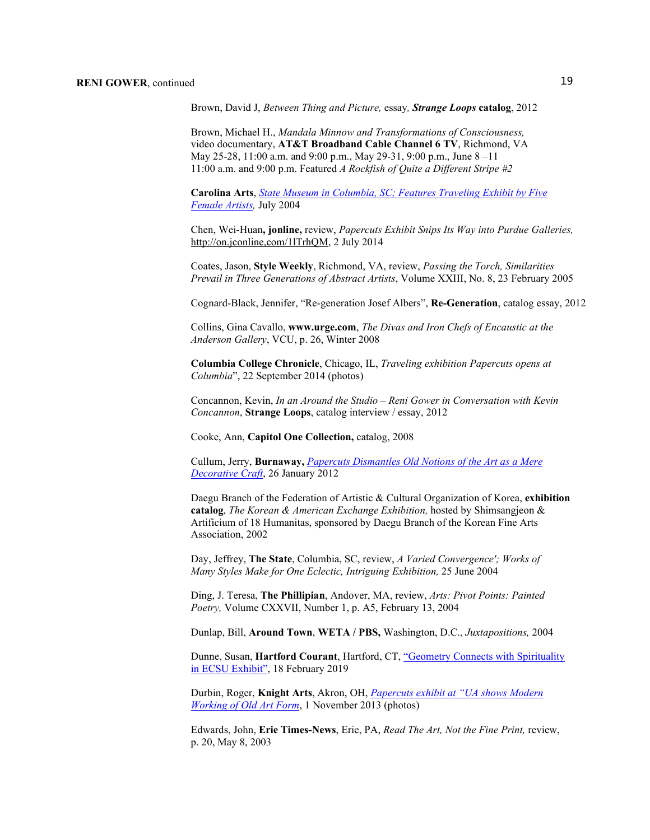Brown, David J, *Between Thing and Picture,* essay*, Strange Loops* **catalog**, 2012

Brown, Michael H., *Mandala Minnow and Transformations of Consciousness,* video documentary, **AT&T Broadband Cable Channel 6 TV**, Richmond, VA May 25-28, 11:00 a.m. and 9:00 p.m., May 29-31, 9:00 p.m., June 8 –11 11:00 a.m. and 9:00 p.m. Featured *A Rockfish of Quite a Different Stripe #2*

**Carolina Arts**, *[State Museum in Columbia, SC; Features Traveling Exhibit by Five](http://www.carolinaarts.com/704scstmus)  [Female Artists,](http://www.carolinaarts.com/704scstmus)* July 2004

Chen, Wei-Huan**, jonline,** review, *Papercuts Exhibit Snips Its Way into Purdue Galleries,*  [http://on.jconline,com/1lTrhQM,](http://on.jconline,com/1lTrhQM) 2 July 2014

Coates, Jason, **Style Weekly**, Richmond, VA, review, *Passing the Torch, Similarities Prevail in Three Generations of Abstract Artists*, Volume XXIII, No. 8, 23 February 2005

Cognard-Black, Jennifer, "Re-generation Josef Albers", **Re-Generation**, catalog essay, 2012

Collins, Gina Cavallo, **[www.urge.com](http://www.urge.com/)**, *The Divas and Iron Chefs of Encaustic at the Anderson Gallery*, VCU, p. 26, Winter 2008

**Columbia College Chronicle**, Chicago, IL, *Traveling exhibition Papercuts opens at Columbia*", 22 September 2014 (photos)

Concannon, Kevin, *In an Around the Studio – Reni Gower in Conversation with Kevin Concannon*, **Strange Loops**, catalog interview / essay, 2012

Cooke, Ann, **Capitol One Collection,** catalog, 2008

Cullum, Jerry, **Burnaway,** *[Papercuts Dismantles Old Notions of the Art](http://www.buraway.org/2012/01/papercuts-dismantles-old-notions-of-the-art--as-mere-decorative-craft/) as a Mere [Decorative Craft](http://www.buraway.org/2012/01/papercuts-dismantles-old-notions-of-the-art--as-mere-decorative-craft/)*, 26 January 2012

Daegu Branch of the Federation of Artistic & Cultural Organization of Korea, **exhibition catalog**, *The Korean & American Exchange Exhibition,* hosted by Shimsangjeon & Artificium of 18 Humanitas, sponsored by Daegu Branch of the Korean Fine Arts Association, 2002

Day, Jeffrey, **The State**, Columbia, SC, review, *A Varied Convergence'; Works of Many Styles Make for One Eclectic, Intriguing Exhibition,* 25 June 2004

Ding, J. Teresa, **The Phillipian**, Andover, MA, review, *Arts: Pivot Points: Painted Poetry,* Volume CXXVII, Number 1, p. A5, February 13, 2004

Dunlap, Bill, **Around Town**, **WETA / PBS,** Washington, D.C., *Juxtapositions,* 2004

Dunne, Susan, **Hartford Courant**, Hartford, CT, "Geometry [Connects with Spirituality](https://www.courant.com/ctnow/arts-theater/hc-ctnow-sacred-geometry-ecsu-willimantic-0221-20190218-xkrt32xi7zbxhbrj4kygpfoagi-story.html)  [in ECSU Exhibit",](https://www.courant.com/ctnow/arts-theater/hc-ctnow-sacred-geometry-ecsu-willimantic-0221-20190218-xkrt32xi7zbxhbrj4kygpfoagi-story.html) 18 February 2019

Durbin, Roger, **Knight Arts**, Akron, OH, *[Papercuts exhibit at "UA shows Modern](http://www.knightarts.org/community/akron/papercuts-exhibit-at-ua-shows-modern-working-of-old-art-form)  [Working of Old Art Form](http://www.knightarts.org/community/akron/papercuts-exhibit-at-ua-shows-modern-working-of-old-art-form)*, 1 November 2013 (photos)

Edwards, John, **Erie Times-News**, Erie, PA, *Read The Art, Not the Fine Print,* review, p. 20, May 8, 2003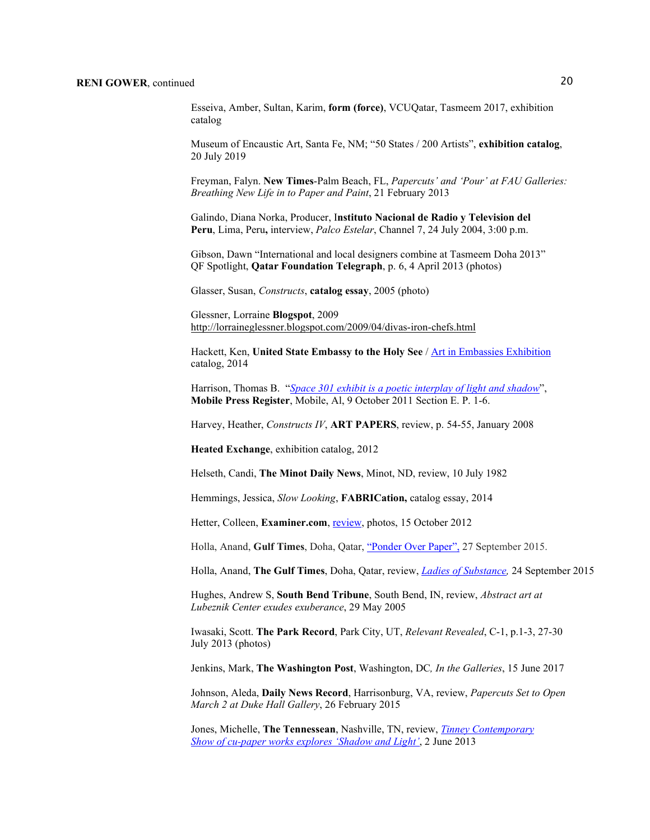Esseiva, Amber, Sultan, Karim, **form (force)**, VCUQatar, Tasmeem 2017, exhibition catalog

Museum of Encaustic Art, Santa Fe, NM; "50 States / 200 Artists", **exhibition catalog**, 20 July 2019

Freyman, Falyn. **New Times**-Palm Beach, FL, *Papercuts' and 'Pour' at FAU Galleries: Breathing New Life in to Paper and Paint*, 21 February 2013

Galindo, Diana Norka, Producer, I**nstituto Nacional de Radio y Television del Peru**, Lima, Peru**,** interview, *Palco Estelar*, Channel 7, 24 July 2004, 3:00 p.m.

Gibson, Dawn "International and local designers combine at Tasmeem Doha 2013" QF Spotlight, **Qatar Foundation Telegraph**, p. 6, 4 April 2013 (photos)

Glasser, Susan, *Constructs*, **catalog essay**, 2005 (photo)

Glessner, Lorraine **Blogspot**, 2009 <http://lorraineglessner.blogspot.com/2009/04/divas-iron-chefs.html>

Hackett, Ken, **United State Embassy to the Holy See** / [Art in Embassies Exhibition](http://art.state.gov/filepassthru.ashx?af=files/exhibitions/Vatican+Publication+2014.PDF) catalog, 2014

Harrison, Thomas B. "*Space 301 exhibit is a poetic [interplay of light and shadow](http://blog.al.com/entertainment-press-register/2011/10/post_82.html)*", **Mobile Press Register**, Mobile, Al, 9 October 2011 Section E. P. 1-6.

Harvey, Heather, *Constructs IV*, **ART PAPERS**, review, p. 54-55, January 2008

**Heated Exchange**, exhibition catalog, 2012

Helseth, Candi, **The Minot Daily News**, Minot, ND, review, 10 July 1982

Hemmings, Jessica, *Slow Looking*, **FABRICation,** catalog essay, 2014

Hetter, Colleen, Examiner.com[, review,](http://www.examiner.com/article/papercuts-painstaking-art-exhibit-by-reni-gower) photos, 15 October 2012

Holla, Anand, **Gulf Times**, Doha, Qatar[, "Ponder Over Paper",](http://www.gulf-times.com/story/456559/Ponder-over-paper) 27 September 2015.

Holla, Anand, **The Gulf Times**, Doha, Qatar, review, *[Ladies of Substance,](http://www.gulf-times.com/culture/238/details/456237/ladies-of-substance)* 24 September 2015

Hughes, Andrew S, **South Bend Tribune**, South Bend, IN, review, *Abstract art at Lubeznik Center exudes exuberance*, 29 May 2005

Iwasaki, Scott. **The Park Record**, Park City, UT, *Relevant Revealed*, C-1, p.1-3, 27-30 July 2013 (photos)

Jenkins, Mark, **The Washington Post**, Washington, DC*, In the Galleries*, 15 June 2017

Johnson, Aleda, **Daily News Record**, Harrisonburg, VA, review, *Papercuts Set to Open March 2 at Duke Hall Gallery*, 26 February 2015

Jones, Michelle, **The Tennessean**, Nashville, TN, review, *[Tinney Contemporary](http://www.tennessean.com/apps/pbcs.dll/article?AID=2013306020024)  Show [of cu-paper works explores 'Shadow](http://www.tennessean.com/apps/pbcs.dll/article?AID=2013306020024) and Light'*, 2 June 2013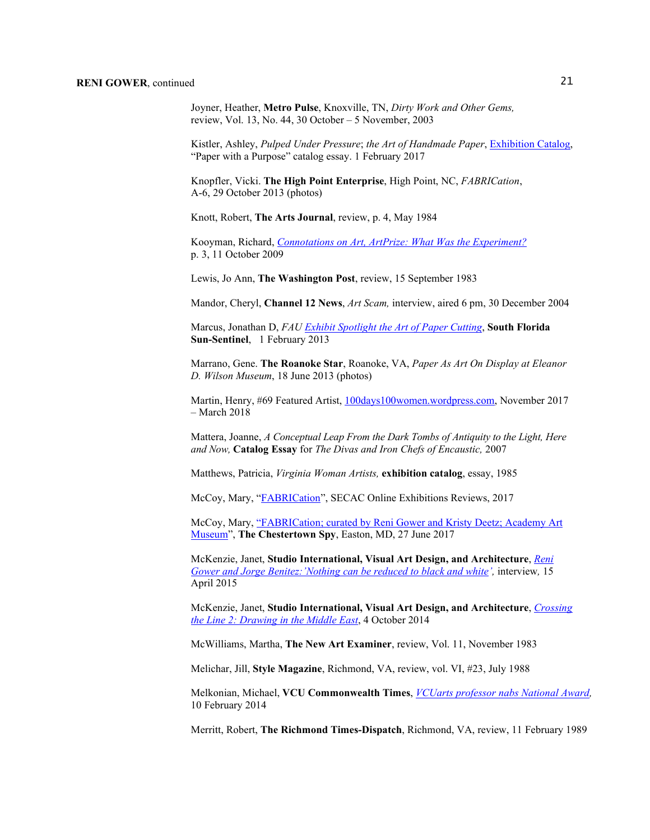Joyner, Heather, **Metro Pulse**, Knoxville, TN, *Dirty Work and Other Gems,* review, Vol. 13, No. 44, 30 October – 5 November, 2003

Kistler, Ashley, *Pulped Under Pressure*; *the Art of Handmade Paper*, Exhibition Catalog, "Paper with a Purpose" catalog essay. 1 February 2017

Knopfler, Vicki. **The High Point Enterprise**, High Point, NC, *FABRICation*, A-6, 29 October 2013 (photos)

Knott, Robert, **The Arts Journal**, review, p. 4, May 1984

Kooyman, Richard, *Connotations [on Art, ArtPrize: What Was the Experiment?](http://www.richardkooyman.wordpress.com/)* p. 3, 11 October 2009

Lewis, Jo Ann, **The Washington Post**, review, 15 September 1983

Mandor, Cheryl, **Channel 12 News**, *Art Scam,* interview, aired 6 pm, 30 December 2004

Marcus, Jonathan D, *FAU [Exhibit Spotlight the Art of Paper Cutting](http://articles.sun-sentinel.com/2013-02-01/news/fl-cn-papercuts-0203-20130201_1_fau-exhibit-rod-faulds-exhibition-materials)*, **South Florida Sun-Sentinel**, 1 February 2013

Marrano, Gene. **The Roanoke Star**, Roanoke, VA, *Paper As Art On Display at Eleanor D. Wilson Museum*, 18 June 2013 (photos)

Martin, Henry, #69 Featured Artist, [100days100women.wordpress.com,](https://100days100women.wordpress.com/) November 2017 – March 2018

Mattera, Joanne, *A Conceptual Leap From the Dark Tombs of Antiquity to the Light, Here and Now,* **Catalog Essay** for *The Divas and Iron Chefs of Encaustic,* 2007

Matthews, Patricia, *Virginia Woman Artists,* **exhibition catalog**, essay, 1985

McCoy, Mary, ["FABRICation"](http://www.secacart.org/index.php?option=com_content&view=article&id=281:fabrication--curated-by-reni-gower-and-kristy-deezt--academy-art-museum--easton--md--april-22-july-9--2017&catid=23:online-exhibition-reviews&Itemid=132), SECAC Online Exhibitions Reviews, 2017

McCoy, Mary[, "FABRICation; curated by Reni Gower and Kristy Deetz; Academy Art](http://chestertownspy.org/2017/06/27/review-fabrication-at-the-academy-art-museum-by-mary-mccoy/)  [Museum"](http://chestertownspy.org/2017/06/27/review-fabrication-at-the-academy-art-museum-by-mary-mccoy/), **The Chestertown Spy**, Easton, MD, 27 June 2017

McKenzie, Janet, **Studio International, Visual Art Design, and Architecture**, *[Reni](http://www.studiointernational.com/index.php/reni-gower-and-jorge-benitez-interview-geometric-aljamia-cultural-transliteration)  Gower [and Jorge Benitez:'Nothing can be reduced to black and white'](http://www.studiointernational.com/index.php/reni-gower-and-jorge-benitez-interview-geometric-aljamia-cultural-transliteration),* interview*,* 15 April 2015

McKenzie, Janet, **Studio International, Visual Art Design, and Architecture**, *[Crossing](http://www.studiointernational.com/index.php/crossing-the-line-2-drawing-in-the-middle-east-dubai)  [the Line 2: Drawing in the Middle East](http://www.studiointernational.com/index.php/crossing-the-line-2-drawing-in-the-middle-east-dubai)*, 4 October 2014

McWilliams, Martha, **The New Art Examiner**, review, Vol. 11, November 1983

Melichar, Jill, **Style Magazine**, Richmond, VA, review, vol. VI, #23, July 1988

Melkonian, Michael, **VCU Commonwealth Times**, *VCUarts professor nabs National Award,* 10 February 2014

Merritt, Robert, **The Richmond Times-Dispatch**, Richmond, VA, review, 11 February 1989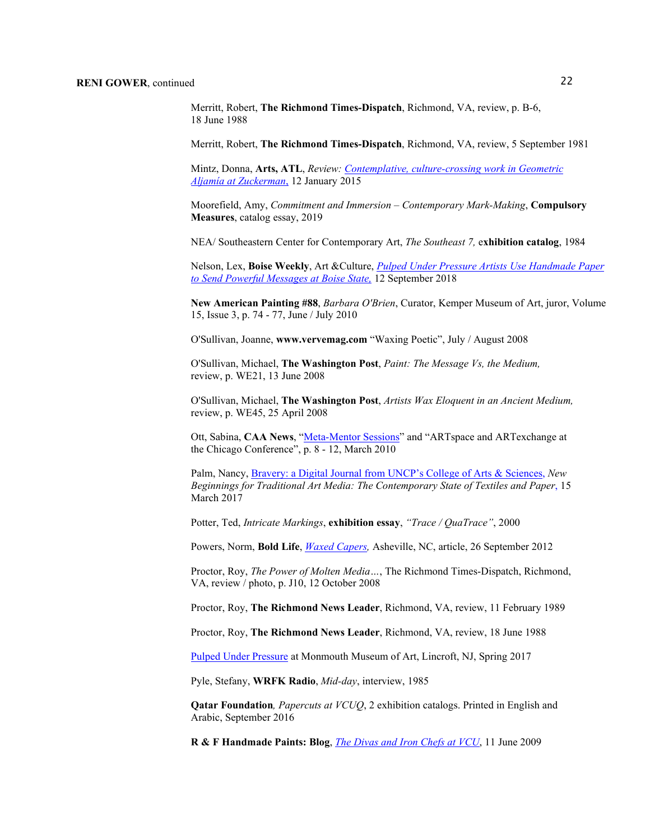Merritt, Robert, **The Richmond Times-Dispatch**, Richmond, VA, review, p. B-6, 18 June 1988

Merritt, Robert, **The Richmond Times-Dispatch**, Richmond, VA, review, 5 September 1981

Mintz, Donna, **Arts, ATL**, *Review: [Contemplative, culture-crossing work in Geometric](http://www.artsatl.com/2015/01/review-geometric-aljamia-zuckerman/)  Aljamía [at Zuckerman](http://www.artsatl.com/2015/01/review-geometric-aljamia-zuckerman/)*, 12 January 2015

Moorefield, Amy, *Commitment and Immersion – Contemporary Mark-Making*, **Compulsory Measures**, catalog essay, 2019

NEA/ Southeastern Center for Contemporary Art, *The Southeast 7,* e**xhibition catalog**, 1984

Nelson, Lex, **Boise Weekly**, Art &Culture, *[Pulped Under Pressure Artists Use Handmade Paper](https://www.boiseweekly.com/boise/pulped-under-pressure-artists-use-handmade-paper-to-send-powerful-messages-at-boise-state/Content?oid=13836470)  [to Send Powerful Messages at Boise State,](https://www.boiseweekly.com/boise/pulped-under-pressure-artists-use-handmade-paper-to-send-powerful-messages-at-boise-state/Content?oid=13836470)* 12 September 2018

**New American Painting #88**, *Barbara O'Brien*, Curator, Kemper Museum of Art, juror, Volume 15, Issue 3, p. 74 - 77, June / July 2010

O'Sullivan, Joanne, **[www.vervemag.com](http://www.vervemag.com/)** "Waxing Poetic", July / August 2008

O'Sullivan, Michael, **The Washington Post**, *Paint: The Message Vs, the Medium,* review, p. WE21, 13 June 2008

O'Sullivan, Michael, **The Washington Post**, *Artists Wax Eloquent in an Ancient Medium,* review, p. WE45, 25 April 2008

Ott, Sabina, CAA News, ["Meta-Mentor Sessions"](http://www.collegeart.org/pdf/caa-new-03-10.pdf,) and "ARTspace and ARTexchange at the Chicago Conference", p. 8 - 12, March 2010

Palm, Nancy[, Bravery: a Digital Journal from UNCP's College of Arts & Sciences,](https://sway.com/vLEeDj251wSKteHH) *New Beginnings for Traditional Art Media: The Contemporary State of Textiles and Paper*, 15 March 2017

Potter, Ted, *Intricate Markings*, **exhibition essay**, *"Trace / QuaTrace"*, 2000

Powers, Norm, **Bold Life**, *[Waxed Capers,](http://www.boldlife.com/)* Asheville, NC, article, 26 September 2012

Proctor, Roy, *The Power of Molten Media…*, The Richmond Times-Dispatch, Richmond, VA, review / photo, p. J10, 12 October 2008

Proctor, Roy, **The Richmond News Leader**, Richmond, VA, review, 11 February 1989

Proctor, Roy, **The Richmond News Leader**, Richmond, VA, review, 18 June 1988

[Pulped Under Pressure](http://myemail.constantcontact.com/Pulped-Under-Pressure.html?soid=1103429963186&aid=3NDZKYlfuAg) at Monmouth Museum of Art, Lincroft, NJ, Spring 2017

Pyle, Stefany, **WRFK Radio**, *Mid-day*, interview, 1985

**Qatar Foundation***, Papercuts at VCUQ*, 2 exhibition catalogs. Printed in English and Arabic, September 2016

**R & F Handmade Paints: Blog**, *[The Divas and Iron Chefs at VCU](http://www.rfpaints.wordpress.com/index.php?option=com_wordpress&tag=encaustic%20%E2%80%93conference)*, [11 June 2009](http://www.rfpaints.wordpress.com/index.php?option=com_wordpress&tag=encaustic%20%E2%80%93conference,%20%2011%20June%202009)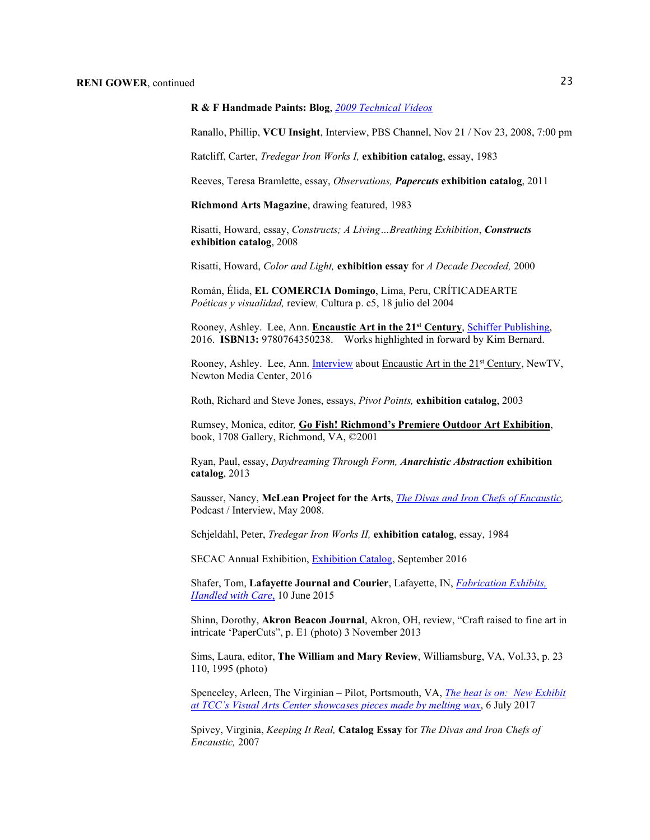#### **R & F Handmade Paints: Blog**, *[2009 Technical Videos](http://www.rfpaints.wordpress.com/2009/03/13/new-technical-videos-for-encaustic/)*

Ranallo, Phillip, **VCU Insight**, Interview, PBS Channel, Nov 21 / Nov 23, 2008, 7:00 pm

Ratcliff, Carter, *Tredegar Iron Works I,* **exhibition catalog**, essay, 1983

Reeves, Teresa Bramlette, essay, *Observations, Papercuts* **exhibition catalog**, 2011

**Richmond Arts Magazine**, drawing featured, 1983

Risatti, Howard, essay, *Constructs; A Living…Breathing Exhibition*, *Constructs* **exhibition catalog**, 2008

Risatti, Howard, *Color and Light,* **exhibition essay** for *A Decade Decoded,* 2000

Román, Élida, **EL COMERCIA Domingo**, Lima, Peru, CRÍTICADEARTE *Poéticas y visualidad,* review*,* Cultura p. c5, 18 julio del 2004

Rooney, Ashley. Lee, Ann. **Encaustic Art in the 21st Century**, [Schiffer Publishing,](http://www.schifferbooks.com/encaustic-art-in-the-twenty-first-century-5903.html) 2016. **ISBN13:** 9780764350238. Works highlighted in forward by Kim Bernard.

Rooney, Ashley. Lee, Ann. [Interview](http://www.newtv.org/video/museum-openhouse/Encaustic-Art/) about Encaustic Art in the 21<sup>st</sup> Century, NewTV, Newton Media Center, 2016

Roth, Richard and Steve Jones, essays, *Pivot Points,* **exhibition catalog**, 2003

Rumsey, Monica, editor*,* **Go Fish! Richmond's Premiere Outdoor Art Exhibition**, book, 1708 Gallery, Richmond, VA, ©2001

Ryan, Paul, essay, *Daydreaming Through Form, Anarchistic Abstraction* **exhibition catalog**, 2013

Sausser, Nancy, **McLean Project for the Arts**, *[The Divas and](http://www.mpaart.org/) Iron Chefs of Encaustic,*  Podcast / Interview, May 2008.

Schjeldahl, Peter, *Tredegar Iron Works II,* **exhibition catalog**, essay, 1984

SECAC Annual Exhibition, [Exhibition](http://www.blurb.com/books/7352196-secac-2016-juried-exhibition-catalogue) Catalog, September 2016

Shafer, Tom, **Lafayette Journal and Courier**, Lafayette, IN, *[Fabrication Exhibits,](http://www.jconline.com/story/entertainment/arts/2015/06/10/fabrication-exhibits-handled-care/71021964/)  [Handled with Care](http://www.jconline.com/story/entertainment/arts/2015/06/10/fabrication-exhibits-handled-care/71021964/)*, 10 June 2015

Shinn, Dorothy, **Akron Beacon Journal**, Akron, OH, review, "Craft raised to fine art in intricate 'PaperCuts", p. E1 (photo) 3 November 2013

Sims, Laura, editor, **The William and Mary Review**, Williamsburg, VA, Vol.33, p. 23 110, 1995 (photo)

Spenceley, Arleen, The Virginian – Pilot, Portsmouth, VA, *[The heat is on: New Exhibit](https://pilotonline.com/news/local/the-heat-is-on-new-exhibit-at-tcc-s-visual/article_d6cd63fc-fc26-5dfc-871a-11c3e2afc565.html)  [at TCC's Visual Arts Center showcases pieces made by melting wax](https://pilotonline.com/news/local/the-heat-is-on-new-exhibit-at-tcc-s-visual/article_d6cd63fc-fc26-5dfc-871a-11c3e2afc565.html)*, 6 July 2017

Spivey, Virginia, *Keeping It Real,* **Catalog Essay** for *The Divas and Iron Chefs of Encaustic,* 2007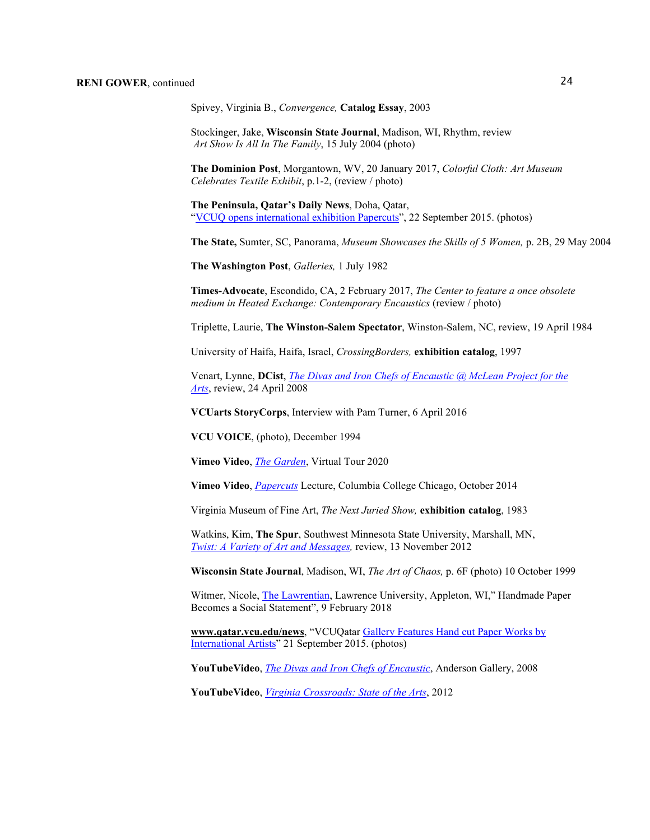Spivey, Virginia B., *Convergence,* **Catalog Essay**, 2003

Stockinger, Jake, **Wisconsin State Journal**, Madison, WI, Rhythm, review *Art Show Is All In The Family*, 15 July 2004 (photo)

**The Dominion Post**, Morgantown, WV, 20 January 2017, *Colorful Cloth: Art Museum Celebrates Textile Exhibit*, p.1-2, (review / photo)

**The Peninsula, Qatar's Daily News**, Doha, Qatar, "VCUQ opens international exhibition Papercuts", 22 September 2015. (photos)

**The State,** Sumter, SC, Panorama, *Museum Showcases the Skills of 5 Women,* p. 2B, 29 May 2004

**The Washington Post**, *Galleries,* 1 July 1982

**Times-Advocate**, Escondido, CA, 2 February 2017, *The Center to feature a once obsolete medium in Heated Exchange: Contemporary Encaustics* (review / photo)

Triplette, Laurie, **The Winston-Salem Spectator**, Winston-Salem, NC, review, 19 April 1984

University of Haifa, Haifa, Israel, *CrossingBorders,* **exhibition catalog**, 1997

Venart, Lynne, **DCist**, *The Divas and Iron Chefs of [Encaustic @ McLean Project for the](http://www.dcist.com/)  [Arts](http://www.dcist.com/)*, review, 24 April 2008

**VCUarts StoryCorps**, Interview with Pam Turner, 6 April 2016

**VCU VOICE**, (photo), December 1994

**Vimeo Video**, *[The Garden](https://vimeo.com/473654796)*, Virtual Tour 2020

**Vimeo Video**, *[Papercuts](http://vimeo,com/114913165)* Lecture, Columbia College Chicago, October 2014

Virginia Museum of Fine Art, *The Next Juried Show,* **exhibition catalog**, 1983

Watkins, Kim, **The Spur**, Southwest Minnesota State University, Marshall, MN, *[Twist: A Variety of Art and Messages,](http://www.smsuspur.net/ae/2012/11/13/twist-a-variety-of-art-and-messages/)* review, 13 November 2012

**Wisconsin State Journal**, Madison, WI, *The Art of Chaos,* p. 6F (photo) 10 October 1999

Witmer, Nicole, [The Lawrentian,](https://www.lawrentian.com/archives/1012089) Lawrence University, Appleton, WI," Handmade Paper Becomes a Social Statement", 9 February 2018

**[www.qatar.vcu.edu/news](http://www.qatar.vcu.edu/news)**, "VCUQatar Gallery Features [Hand cut Paper Works by](http://www.qatar.vcu.edu/news/vcuqatar-gallery-features-hand-cut-paper-works-by-international-artists)  [International Artists"](http://www.qatar.vcu.edu/news/vcuqatar-gallery-features-hand-cut-paper-works-by-international-artists) 21 September 2015. (photos)

**YouTubeVideo**, *[The Divas and Iron](http://www.youtube.com/watdh?v=cJoRbUbm80M) Chefs of Encaustic*, Anderson Gallery, 2008

**YouTubeVideo**, *[Virginia Crossroads: State of the Arts](http://www.youtube.com/watch?v=uMdlOxsS5MM)*, 2012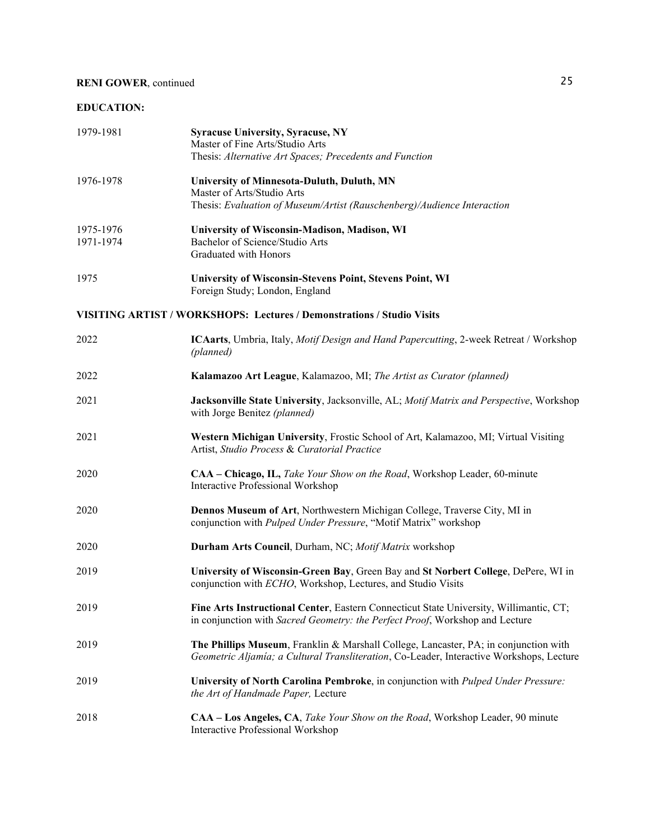### **EDUCATION:**

| 1979-1981              | <b>Syracuse University, Syracuse, NY</b><br>Master of Fine Arts/Studio Arts<br>Thesis: Alternative Art Spaces; Precedents and Function                                           |
|------------------------|----------------------------------------------------------------------------------------------------------------------------------------------------------------------------------|
| 1976-1978              | University of Minnesota-Duluth, Duluth, MN<br>Master of Arts/Studio Arts<br>Thesis: Evaluation of Museum/Artist (Rauschenberg)/Audience Interaction                              |
| 1975-1976<br>1971-1974 | University of Wisconsin-Madison, Madison, WI<br>Bachelor of Science/Studio Arts<br>Graduated with Honors                                                                         |
| 1975                   | University of Wisconsin-Stevens Point, Stevens Point, WI<br>Foreign Study; London, England                                                                                       |
|                        | <b>VISITING ARTIST / WORKSHOPS: Lectures / Demonstrations / Studio Visits</b>                                                                                                    |
| 2022                   | ICAarts, Umbria, Italy, <i>Motif Design and Hand Papercutting</i> , 2-week Retreat / Workshop<br>(planned)                                                                       |
| 2022                   | Kalamazoo Art League, Kalamazoo, MI; The Artist as Curator (planned)                                                                                                             |
| 2021                   | Jacksonville State University, Jacksonville, AL; Motif Matrix and Perspective, Workshop<br>with Jorge Benitez (planned)                                                          |
| 2021                   | Western Michigan University, Frostic School of Art, Kalamazoo, MI; Virtual Visiting<br>Artist, Studio Process & Curatorial Practice                                              |
| 2020                   | CAA – Chicago, IL, Take Your Show on the Road, Workshop Leader, 60-minute<br>Interactive Professional Workshop                                                                   |
| 2020                   | Dennos Museum of Art, Northwestern Michigan College, Traverse City, MI in<br>conjunction with Pulped Under Pressure, "Motif Matrix" workshop                                     |
| 2020                   | Durham Arts Council, Durham, NC; Motif Matrix workshop                                                                                                                           |
| 2019                   | University of Wisconsin-Green Bay, Green Bay and St Norbert College, DePere, WI in<br>conjunction with ECHO, Workshop, Lectures, and Studio Visits                               |
| 2019                   | Fine Arts Instructional Center, Eastern Connecticut State University, Willimantic, CT;<br>in conjunction with Sacred Geometry: the Perfect Proof, Workshop and Lecture           |
| 2019                   | The Phillips Museum, Franklin & Marshall College, Lancaster, PA; in conjunction with<br>Geometric Aljamía; a Cultural Transliteration, Co-Leader, Interactive Workshops, Lecture |
| 2019                   | University of North Carolina Pembroke, in conjunction with Pulped Under Pressure:<br>the Art of Handmade Paper, Lecture                                                          |
| 2018                   | CAA - Los Angeles, CA, Take Your Show on the Road, Workshop Leader, 90 minute<br>Interactive Professional Workshop                                                               |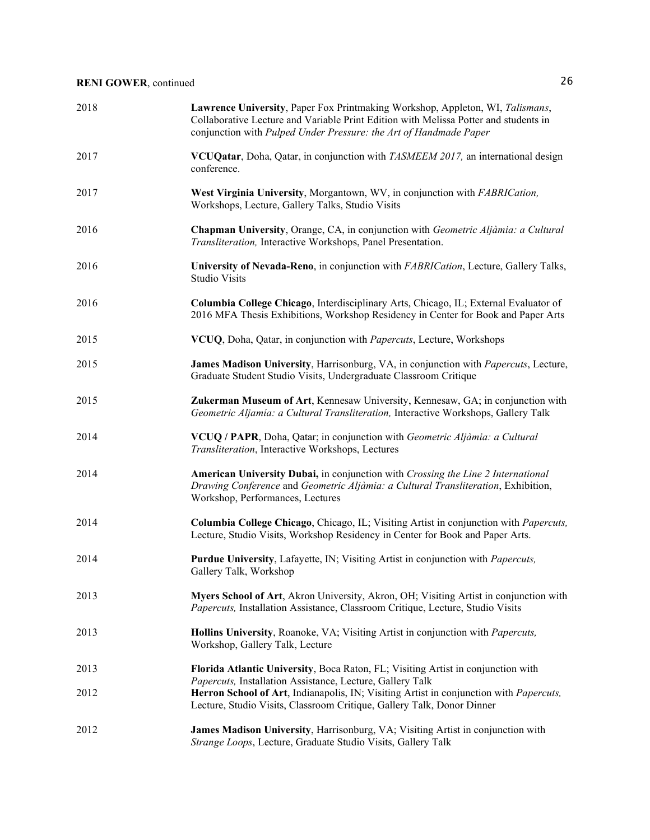| 2018 | Lawrence University, Paper Fox Printmaking Workshop, Appleton, WI, Talismans,<br>Collaborative Lecture and Variable Print Edition with Melissa Potter and students in<br>conjunction with Pulped Under Pressure: the Art of Handmade Paper |
|------|--------------------------------------------------------------------------------------------------------------------------------------------------------------------------------------------------------------------------------------------|
| 2017 | VCUQatar, Doha, Qatar, in conjunction with TASMEEM 2017, an international design<br>conference.                                                                                                                                            |
| 2017 | West Virginia University, Morgantown, WV, in conjunction with FABRICation,<br>Workshops, Lecture, Gallery Talks, Studio Visits                                                                                                             |
| 2016 | Chapman University, Orange, CA, in conjunction with Geometric Aljàmia: a Cultural<br>Transliteration, Interactive Workshops, Panel Presentation.                                                                                           |
| 2016 | University of Nevada-Reno, in conjunction with FABRICation, Lecture, Gallery Talks,<br><b>Studio Visits</b>                                                                                                                                |
| 2016 | Columbia College Chicago, Interdisciplinary Arts, Chicago, IL; External Evaluator of<br>2016 MFA Thesis Exhibitions, Workshop Residency in Center for Book and Paper Arts                                                                  |
| 2015 | VCUQ, Doha, Qatar, in conjunction with Papercuts, Lecture, Workshops                                                                                                                                                                       |
| 2015 | James Madison University, Harrisonburg, VA, in conjunction with Papercuts, Lecture,<br>Graduate Student Studio Visits, Undergraduate Classroom Critique                                                                                    |
| 2015 | Zukerman Museum of Art, Kennesaw University, Kennesaw, GA; in conjunction with<br>Geometric Aljamía: a Cultural Transliteration, Interactive Workshops, Gallery Talk                                                                       |
| 2014 | VCUQ / PAPR, Doha, Qatar; in conjunction with Geometric Aljàmia: a Cultural<br>Transliteration, Interactive Workshops, Lectures                                                                                                            |
| 2014 | American University Dubai, in conjunction with Crossing the Line 2 International<br>Drawing Conference and Geometric Aljàmia: a Cultural Transliteration, Exhibition,<br>Workshop, Performances, Lectures                                  |
| 2014 | Columbia College Chicago, Chicago, IL; Visiting Artist in conjunction with Papercuts,<br>Lecture, Studio Visits, Workshop Residency in Center for Book and Paper Arts.                                                                     |
| 2014 | Purdue University, Lafayette, IN; Visiting Artist in conjunction with Papercuts,<br>Gallery Talk, Workshop                                                                                                                                 |
| 2013 | Myers School of Art, Akron University, Akron, OH; Visiting Artist in conjunction with<br>Papercuts, Installation Assistance, Classroom Critique, Lecture, Studio Visits                                                                    |
| 2013 | Hollins University, Roanoke, VA; Visiting Artist in conjunction with Papercuts,<br>Workshop, Gallery Talk, Lecture                                                                                                                         |
| 2013 | Florida Atlantic University, Boca Raton, FL; Visiting Artist in conjunction with                                                                                                                                                           |
| 2012 | Papercuts, Installation Assistance, Lecture, Gallery Talk<br>Herron School of Art, Indianapolis, IN; Visiting Artist in conjunction with Papercuts,<br>Lecture, Studio Visits, Classroom Critique, Gallery Talk, Donor Dinner              |
| 2012 | James Madison University, Harrisonburg, VA; Visiting Artist in conjunction with<br>Strange Loops, Lecture, Graduate Studio Visits, Gallery Talk                                                                                            |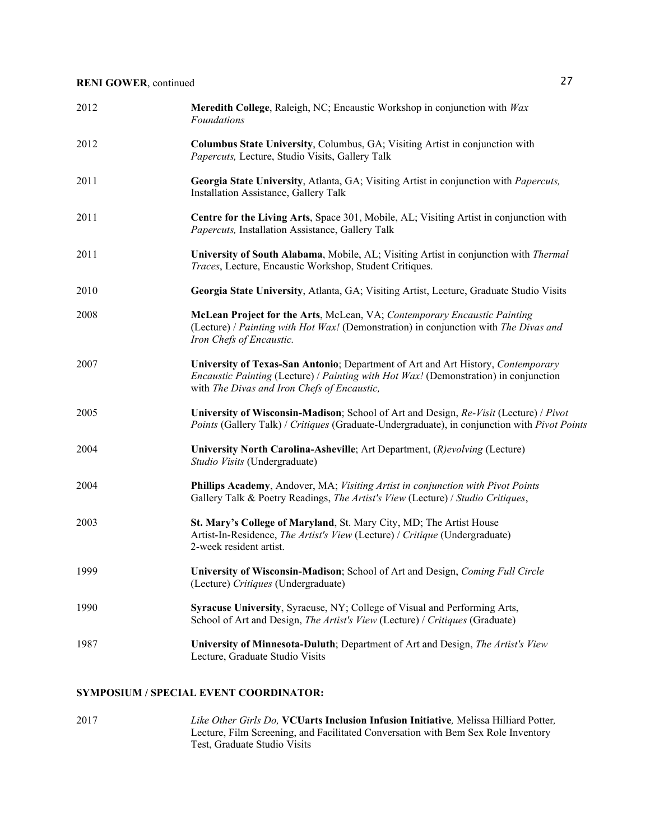| 2012 | Meredith College, Raleigh, NC; Encaustic Workshop in conjunction with Wax<br><b>Foundations</b>                                                                                                                                |
|------|--------------------------------------------------------------------------------------------------------------------------------------------------------------------------------------------------------------------------------|
| 2012 | Columbus State University, Columbus, GA; Visiting Artist in conjunction with<br>Papercuts, Lecture, Studio Visits, Gallery Talk                                                                                                |
| 2011 | Georgia State University, Atlanta, GA; Visiting Artist in conjunction with Papercuts,<br>Installation Assistance, Gallery Talk                                                                                                 |
| 2011 | Centre for the Living Arts, Space 301, Mobile, AL; Visiting Artist in conjunction with<br>Papercuts, Installation Assistance, Gallery Talk                                                                                     |
| 2011 | University of South Alabama, Mobile, AL; Visiting Artist in conjunction with Thermal<br>Traces, Lecture, Encaustic Workshop, Student Critiques.                                                                                |
| 2010 | Georgia State University, Atlanta, GA; Visiting Artist, Lecture, Graduate Studio Visits                                                                                                                                        |
| 2008 | McLean Project for the Arts, McLean, VA; Contemporary Encaustic Painting<br>(Lecture) / Painting with Hot Wax! (Demonstration) in conjunction with The Divas and<br>Iron Chefs of Encaustic.                                   |
| 2007 | University of Texas-San Antonio; Department of Art and Art History, Contemporary<br><i>Encaustic Painting</i> (Lecture) / Painting with Hot Wax! (Demonstration) in conjunction<br>with The Divas and Iron Chefs of Encaustic, |
| 2005 | University of Wisconsin-Madison; School of Art and Design, Re-Visit (Lecture) / Pivot<br>Points (Gallery Talk) / Critiques (Graduate-Undergraduate), in conjunction with Pivot Points                                          |
| 2004 | University North Carolina-Asheville; Art Department, (R)evolving (Lecture)<br>Studio Visits (Undergraduate)                                                                                                                    |
| 2004 | Phillips Academy, Andover, MA; Visiting Artist in conjunction with Pivot Points<br>Gallery Talk & Poetry Readings, The Artist's View (Lecture) / Studio Critiques,                                                             |
| 2003 | St. Mary's College of Maryland, St. Mary City, MD; The Artist House<br>Artist-In-Residence, The Artist's View (Lecture) / Critique (Undergraduate)<br>2-week resident artist.                                                  |
| 1999 | University of Wisconsin-Madison; School of Art and Design, Coming Full Circle<br>(Lecture) Critiques (Undergraduate)                                                                                                           |
| 1990 | Syracuse University, Syracuse, NY; College of Visual and Performing Arts,<br>School of Art and Design, The Artist's View (Lecture) / Critiques (Graduate)                                                                      |
| 1987 | University of Minnesota-Duluth; Department of Art and Design, The Artist's View<br>Lecture, Graduate Studio Visits                                                                                                             |

#### **SYMPOSIUM / SPECIAL EVENT COORDINATOR:**

2017 *Like Other Girls Do,* **VCUarts Inclusion Infusion Initiative***,* Melissa Hilliard Potter*,*  Lecture, Film Screening, and Facilitated Conversation with Bem Sex Role Inventory Test, Graduate Studio Visits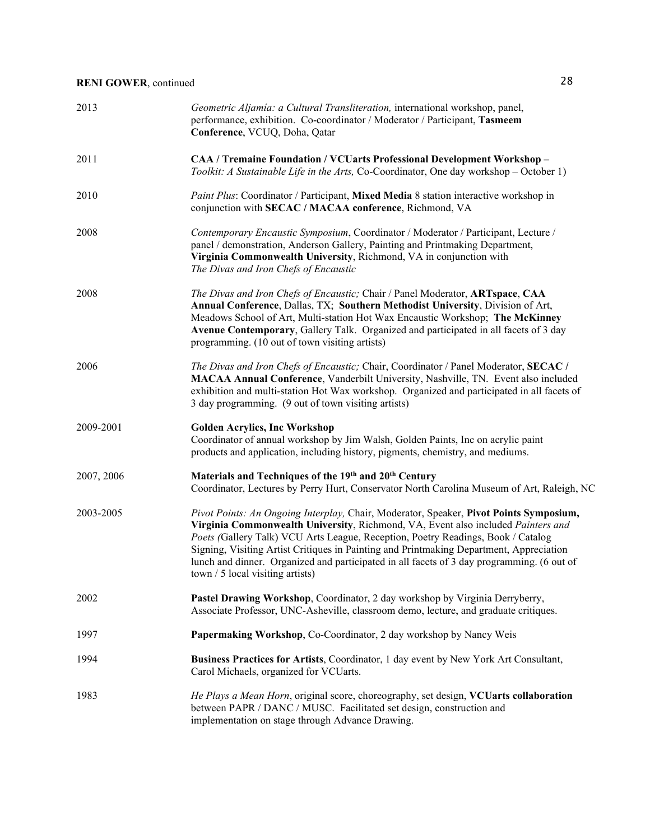| 2013       | Geometric Aljamía: a Cultural Transliteration, international workshop, panel,<br>performance, exhibition. Co-coordinator / Moderator / Participant, Tasmeem<br>Conference, VCUQ, Doha, Qatar                                                                                                                                                                                                                                                                                                  |
|------------|-----------------------------------------------------------------------------------------------------------------------------------------------------------------------------------------------------------------------------------------------------------------------------------------------------------------------------------------------------------------------------------------------------------------------------------------------------------------------------------------------|
| 2011       | CAA / Tremaine Foundation / VCUarts Professional Development Workshop -<br>Toolkit: A Sustainable Life in the Arts, Co-Coordinator, One day workshop - October 1)                                                                                                                                                                                                                                                                                                                             |
| 2010       | Paint Plus: Coordinator / Participant, Mixed Media 8 station interactive workshop in<br>conjunction with SECAC / MACAA conference, Richmond, VA                                                                                                                                                                                                                                                                                                                                               |
| 2008       | Contemporary Encaustic Symposium, Coordinator / Moderator / Participant, Lecture /<br>panel / demonstration, Anderson Gallery, Painting and Printmaking Department,<br>Virginia Commonwealth University, Richmond, VA in conjunction with<br>The Divas and Iron Chefs of Encaustic                                                                                                                                                                                                            |
| 2008       | The Divas and Iron Chefs of Encaustic; Chair / Panel Moderator, ARTspace, CAA<br>Annual Conference, Dallas, TX; Southern Methodist University, Division of Art,<br>Meadows School of Art, Multi-station Hot Wax Encaustic Workshop; The McKinney<br>Avenue Contemporary, Gallery Talk. Organized and participated in all facets of 3 day<br>programming. (10 out of town visiting artists)                                                                                                    |
| 2006       | The Divas and Iron Chefs of Encaustic; Chair, Coordinator / Panel Moderator, SECAC /<br>MACAA Annual Conference, Vanderbilt University, Nashville, TN. Event also included<br>exhibition and multi-station Hot Wax workshop. Organized and participated in all facets of<br>3 day programming. (9 out of town visiting artists)                                                                                                                                                               |
| 2009-2001  | <b>Golden Acrylics, Inc Workshop</b><br>Coordinator of annual workshop by Jim Walsh, Golden Paints, Inc on acrylic paint<br>products and application, including history, pigments, chemistry, and mediums.                                                                                                                                                                                                                                                                                    |
| 2007, 2006 | Materials and Techniques of the 19th and 20th Century<br>Coordinator, Lectures by Perry Hurt, Conservator North Carolina Museum of Art, Raleigh, NC                                                                                                                                                                                                                                                                                                                                           |
| 2003-2005  | Pivot Points: An Ongoing Interplay, Chair, Moderator, Speaker, Pivot Points Symposium,<br>Virginia Commonwealth University, Richmond, VA, Event also included Painters and<br>Poets (Gallery Talk) VCU Arts League, Reception, Poetry Readings, Book / Catalog<br>Signing, Visiting Artist Critiques in Painting and Printmaking Department, Appreciation<br>lunch and dinner. Organized and participated in all facets of 3 day programming. (6 out of<br>$town / 5$ local visiting artists) |
| 2002       | Pastel Drawing Workshop, Coordinator, 2 day workshop by Virginia Derryberry,<br>Associate Professor, UNC-Asheville, classroom demo, lecture, and graduate critiques.                                                                                                                                                                                                                                                                                                                          |
| 1997       | Papermaking Workshop, Co-Coordinator, 2 day workshop by Nancy Weis                                                                                                                                                                                                                                                                                                                                                                                                                            |
| 1994       | Business Practices for Artists, Coordinator, 1 day event by New York Art Consultant,<br>Carol Michaels, organized for VCUarts.                                                                                                                                                                                                                                                                                                                                                                |
| 1983       | He Plays a Mean Horn, original score, choreography, set design, VCUarts collaboration<br>between PAPR / DANC / MUSC. Facilitated set design, construction and<br>implementation on stage through Advance Drawing.                                                                                                                                                                                                                                                                             |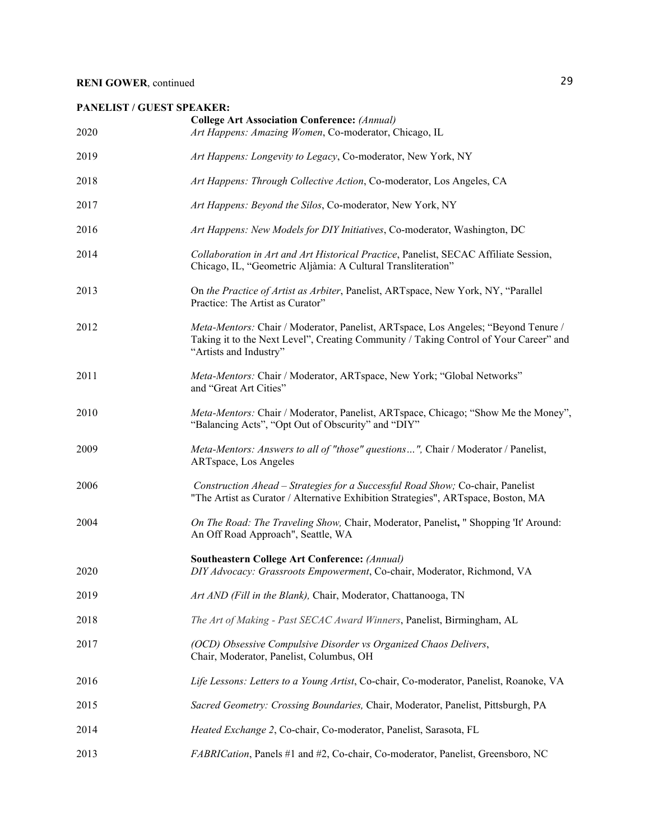## **PANELIST / GUEST SPEAKER:**

| 2020 | <b>College Art Association Conference:</b> (Annual)<br>Art Happens: Amazing Women, Co-moderator, Chicago, IL                                                                                          |
|------|-------------------------------------------------------------------------------------------------------------------------------------------------------------------------------------------------------|
| 2019 | Art Happens: Longevity to Legacy, Co-moderator, New York, NY                                                                                                                                          |
| 2018 | Art Happens: Through Collective Action, Co-moderator, Los Angeles, CA                                                                                                                                 |
| 2017 | Art Happens: Beyond the Silos, Co-moderator, New York, NY                                                                                                                                             |
| 2016 | Art Happens: New Models for DIY Initiatives, Co-moderator, Washington, DC                                                                                                                             |
| 2014 | Collaboration in Art and Art Historical Practice, Panelist, SECAC Affiliate Session,<br>Chicago, IL, "Geometric Aljàmia: A Cultural Transliteration"                                                  |
| 2013 | On the Practice of Artist as Arbiter, Panelist, ARTspace, New York, NY, "Parallel<br>Practice: The Artist as Curator"                                                                                 |
| 2012 | Meta-Mentors: Chair / Moderator, Panelist, ARTspace, Los Angeles; "Beyond Tenure /<br>Taking it to the Next Level", Creating Community / Taking Control of Your Career" and<br>"Artists and Industry" |
| 2011 | Meta-Mentors: Chair / Moderator, ARTspace, New York; "Global Networks"<br>and "Great Art Cities"                                                                                                      |
| 2010 | Meta-Mentors: Chair / Moderator, Panelist, ARTspace, Chicago; "Show Me the Money",<br>"Balancing Acts", "Opt Out of Obscurity" and "DIY"                                                              |
| 2009 | Meta-Mentors: Answers to all of "those" questions", Chair / Moderator / Panelist,<br>ARTspace, Los Angeles                                                                                            |
| 2006 | Construction Ahead - Strategies for a Successful Road Show; Co-chair, Panelist<br>"The Artist as Curator / Alternative Exhibition Strategies", ARTspace, Boston, MA                                   |
| 2004 | On The Road: The Traveling Show, Chair, Moderator, Panelist, " Shopping 'It' Around:<br>An Off Road Approach", Seattle, WA                                                                            |
| 2020 | <b>Southeastern College Art Conference: (Annual)</b><br>DIY Advocacy: Grassroots Empowerment, Co-chair, Moderator, Richmond, VA                                                                       |
| 2019 | Art AND (Fill in the Blank), Chair, Moderator, Chattanooga, TN                                                                                                                                        |
| 2018 | The Art of Making - Past SECAC Award Winners, Panelist, Birmingham, AL                                                                                                                                |
| 2017 | (OCD) Obsessive Compulsive Disorder vs Organized Chaos Delivers,<br>Chair, Moderator, Panelist, Columbus, OH                                                                                          |
| 2016 | Life Lessons: Letters to a Young Artist, Co-chair, Co-moderator, Panelist, Roanoke, VA                                                                                                                |
| 2015 | Sacred Geometry: Crossing Boundaries, Chair, Moderator, Panelist, Pittsburgh, PA                                                                                                                      |
| 2014 | Heated Exchange 2, Co-chair, Co-moderator, Panelist, Sarasota, FL                                                                                                                                     |
| 2013 | <i>FABRICation</i> , Panels #1 and #2, Co-chair, Co-moderator, Panelist, Greensboro, NC                                                                                                               |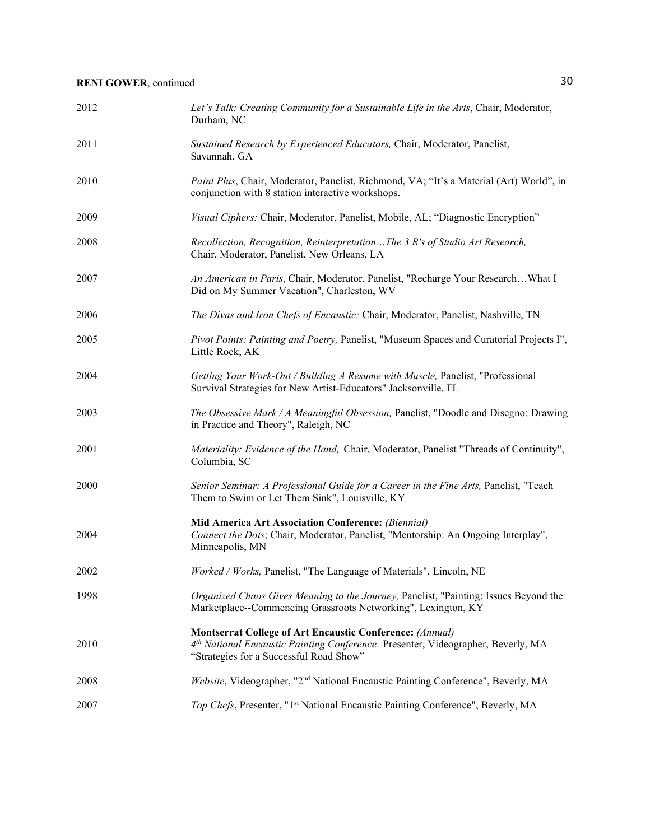| 2012 | Let's Talk: Creating Community for a Sustainable Life in the Arts, Chair, Moderator,<br>Durham, NC                                                                                             |
|------|------------------------------------------------------------------------------------------------------------------------------------------------------------------------------------------------|
| 2011 | Sustained Research by Experienced Educators, Chair, Moderator, Panelist,<br>Savannah, GA                                                                                                       |
| 2010 | Paint Plus, Chair, Moderator, Panelist, Richmond, VA; "It's a Material (Art) World", in<br>conjunction with 8 station interactive workshops.                                                   |
| 2009 | Visual Ciphers: Chair, Moderator, Panelist, Mobile, AL; "Diagnostic Encryption"                                                                                                                |
| 2008 | Recollection, Recognition, ReinterpretationThe 3 R's of Studio Art Research,<br>Chair, Moderator, Panelist, New Orleans, LA                                                                    |
| 2007 | An American in Paris, Chair, Moderator, Panelist, "Recharge Your ResearchWhat I<br>Did on My Summer Vacation", Charleston, WV                                                                  |
| 2006 | The Divas and Iron Chefs of Encaustic; Chair, Moderator, Panelist, Nashville, TN                                                                                                               |
| 2005 | Pivot Points: Painting and Poetry, Panelist, "Museum Spaces and Curatorial Projects I",<br>Little Rock, AK                                                                                     |
| 2004 | Getting Your Work-Out / Building A Resume with Muscle, Panelist, "Professional<br>Survival Strategies for New Artist-Educators" Jacksonville, FL                                               |
| 2003 | The Obsessive Mark / A Meaningful Obsession, Panelist, "Doodle and Disegno: Drawing<br>in Practice and Theory", Raleigh, NC                                                                    |
| 2001 | Materiality: Evidence of the Hand, Chair, Moderator, Panelist "Threads of Continuity",<br>Columbia, SC                                                                                         |
| 2000 | Senior Seminar: A Professional Guide for a Career in the Fine Arts, Panelist, "Teach<br>Them to Swim or Let Them Sink", Louisville, KY                                                         |
| 2004 | Mid America Art Association Conference: (Biennial)<br>Connect the Dots; Chair, Moderator, Panelist, "Mentorship: An Ongoing Interplay",<br>Minneapolis, MN                                     |
| 2002 | Worked / Works, Panelist, "The Language of Materials", Lincoln, NE                                                                                                                             |
| 1998 | Organized Chaos Gives Meaning to the Journey, Panelist, "Painting: Issues Beyond the<br>Marketplace--Commencing Grassroots Networking", Lexington, KY                                          |
| 2010 | <b>Montserrat College of Art Encaustic Conference: (Annual)</b><br>4th National Encaustic Painting Conference: Presenter, Videographer, Beverly, MA<br>"Strategies for a Successful Road Show" |
| 2008 | Website, Videographer, "2 <sup>nd</sup> National Encaustic Painting Conference", Beverly, MA                                                                                                   |
| 2007 | Top Chefs, Presenter, "1 <sup>st</sup> National Encaustic Painting Conference", Beverly, MA                                                                                                    |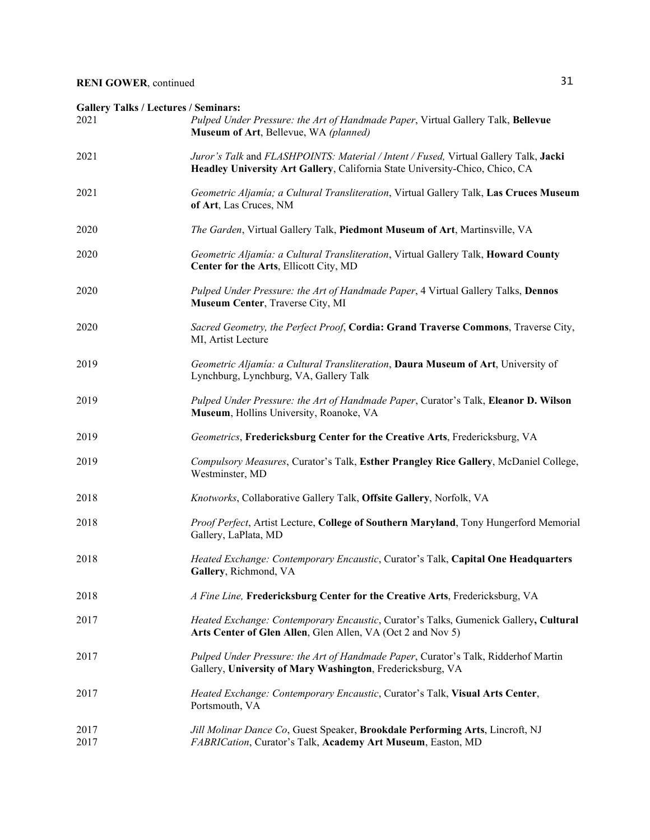| <b>Gallery Talks / Lectures / Seminars:</b><br>2021 | Pulped Under Pressure: the Art of Handmade Paper, Virtual Gallery Talk, Bellevue<br>Museum of Art, Bellevue, WA (planned)                                            |
|-----------------------------------------------------|----------------------------------------------------------------------------------------------------------------------------------------------------------------------|
| 2021                                                | Juror's Talk and FLASHPOINTS: Material / Intent / Fused, Virtual Gallery Talk, Jacki<br>Headley University Art Gallery, California State University-Chico, Chico, CA |
| 2021                                                | Geometric Aljamía; a Cultural Transliteration, Virtual Gallery Talk, Las Cruces Museum<br>of Art, Las Cruces, NM                                                     |
| 2020                                                | The Garden, Virtual Gallery Talk, Piedmont Museum of Art, Martinsville, VA                                                                                           |
| 2020                                                | Geometric Aljamía: a Cultural Transliteration, Virtual Gallery Talk, Howard County<br>Center for the Arts, Ellicott City, MD                                         |
| 2020                                                | Pulped Under Pressure: the Art of Handmade Paper, 4 Virtual Gallery Talks, Dennos<br>Museum Center, Traverse City, MI                                                |
| 2020                                                | Sacred Geometry, the Perfect Proof, Cordia: Grand Traverse Commons, Traverse City,<br>MI, Artist Lecture                                                             |
| 2019                                                | Geometric Aljamía: a Cultural Transliteration, Daura Museum of Art, University of<br>Lynchburg, Lynchburg, VA, Gallery Talk                                          |
| 2019                                                | Pulped Under Pressure: the Art of Handmade Paper, Curator's Talk, Eleanor D. Wilson<br>Museum, Hollins University, Roanoke, VA                                       |
| 2019                                                | Geometrics, Fredericksburg Center for the Creative Arts, Fredericksburg, VA                                                                                          |
| 2019                                                | Compulsory Measures, Curator's Talk, Esther Prangley Rice Gallery, McDaniel College,<br>Westminster, MD                                                              |
| 2018                                                | Knotworks, Collaborative Gallery Talk, Offsite Gallery, Norfolk, VA                                                                                                  |
| 2018                                                | Proof Perfect, Artist Lecture, College of Southern Maryland, Tony Hungerford Memorial<br>Gallery, LaPlata, MD                                                        |
| 2018                                                | Heated Exchange: Contemporary Encaustic, Curator's Talk, Capital One Headquarters<br>Gallery, Richmond, VA                                                           |
| 2018                                                | A Fine Line, Fredericksburg Center for the Creative Arts, Fredericksburg, VA                                                                                         |
| 2017                                                | Heated Exchange: Contemporary Encaustic, Curator's Talks, Gumenick Gallery, Cultural<br>Arts Center of Glen Allen, Glen Allen, VA (Oct 2 and Nov 5)                  |
| 2017                                                | Pulped Under Pressure: the Art of Handmade Paper, Curator's Talk, Ridderhof Martin<br>Gallery, University of Mary Washington, Fredericksburg, VA                     |
| 2017                                                | Heated Exchange: Contemporary Encaustic, Curator's Talk, Visual Arts Center,<br>Portsmouth, VA                                                                       |
| 2017<br>2017                                        | Jill Molinar Dance Co, Guest Speaker, Brookdale Performing Arts, Lincroft, NJ<br>FABRICation, Curator's Talk, Academy Art Museum, Easton, MD                         |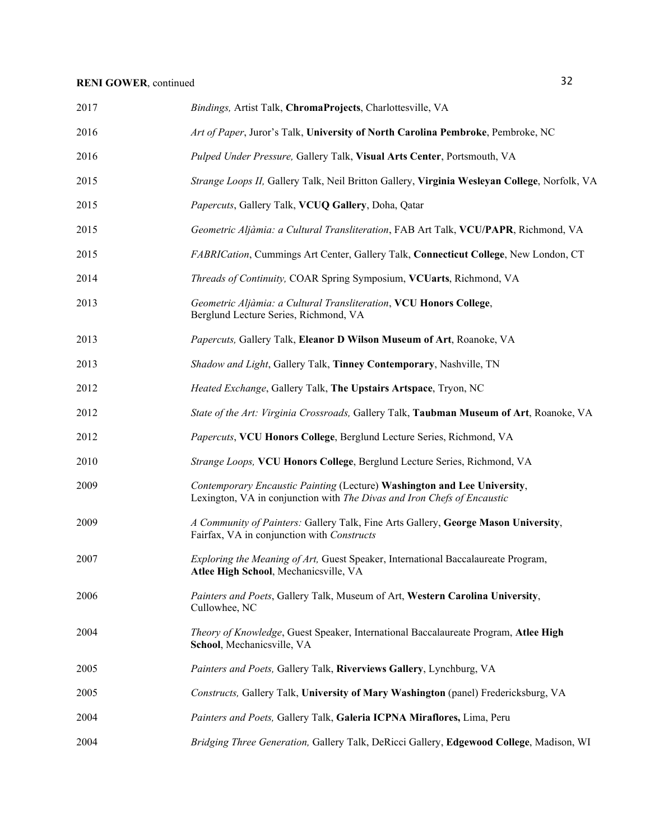| 2017 | Bindings, Artist Talk, ChromaProjects, Charlottesville, VA                                                                                          |
|------|-----------------------------------------------------------------------------------------------------------------------------------------------------|
| 2016 | Art of Paper, Juror's Talk, University of North Carolina Pembroke, Pembroke, NC                                                                     |
| 2016 | Pulped Under Pressure, Gallery Talk, Visual Arts Center, Portsmouth, VA                                                                             |
| 2015 | Strange Loops II, Gallery Talk, Neil Britton Gallery, Virginia Wesleyan College, Norfolk, VA                                                        |
| 2015 | Papercuts, Gallery Talk, VCUQ Gallery, Doha, Qatar                                                                                                  |
| 2015 | Geometric Aljàmia: a Cultural Transliteration, FAB Art Talk, VCU/PAPR, Richmond, VA                                                                 |
| 2015 | FABRICation, Cummings Art Center, Gallery Talk, Connecticut College, New London, CT                                                                 |
| 2014 | Threads of Continuity, COAR Spring Symposium, VCUarts, Richmond, VA                                                                                 |
| 2013 | Geometric Aljàmia: a Cultural Transliteration, VCU Honors College,<br>Berglund Lecture Series, Richmond, VA                                         |
| 2013 | Papercuts, Gallery Talk, Eleanor D Wilson Museum of Art, Roanoke, VA                                                                                |
| 2013 | Shadow and Light, Gallery Talk, Tinney Contemporary, Nashville, TN                                                                                  |
| 2012 | Heated Exchange, Gallery Talk, The Upstairs Artspace, Tryon, NC                                                                                     |
| 2012 | State of the Art: Virginia Crossroads, Gallery Talk, Taubman Museum of Art, Roanoke, VA                                                             |
| 2012 | Papercuts, VCU Honors College, Berglund Lecture Series, Richmond, VA                                                                                |
| 2010 | Strange Loops, VCU Honors College, Berglund Lecture Series, Richmond, VA                                                                            |
| 2009 | Contemporary Encaustic Painting (Lecture) Washington and Lee University,<br>Lexington, VA in conjunction with The Divas and Iron Chefs of Encaustic |
| 2009 | A Community of Painters: Gallery Talk, Fine Arts Gallery, George Mason University,<br>Fairfax, VA in conjunction with Constructs                    |
| 2007 | Exploring the Meaning of Art, Guest Speaker, International Baccalaureate Program,<br>Atlee High School, Mechanicsville, VA                          |
| 2006 | Painters and Poets, Gallery Talk, Museum of Art, Western Carolina University,<br>Cullowhee, NC                                                      |
| 2004 | Theory of Knowledge, Guest Speaker, International Baccalaureate Program, Atlee High<br>School, Mechanicsville, VA                                   |
| 2005 | Painters and Poets, Gallery Talk, Riverviews Gallery, Lynchburg, VA                                                                                 |
| 2005 | Constructs, Gallery Talk, University of Mary Washington (panel) Fredericksburg, VA                                                                  |
| 2004 | Painters and Poets, Gallery Talk, Galeria ICPNA Miraflores, Lima, Peru                                                                              |
| 2004 | Bridging Three Generation, Gallery Talk, DeRicci Gallery, Edgewood College, Madison, WI                                                             |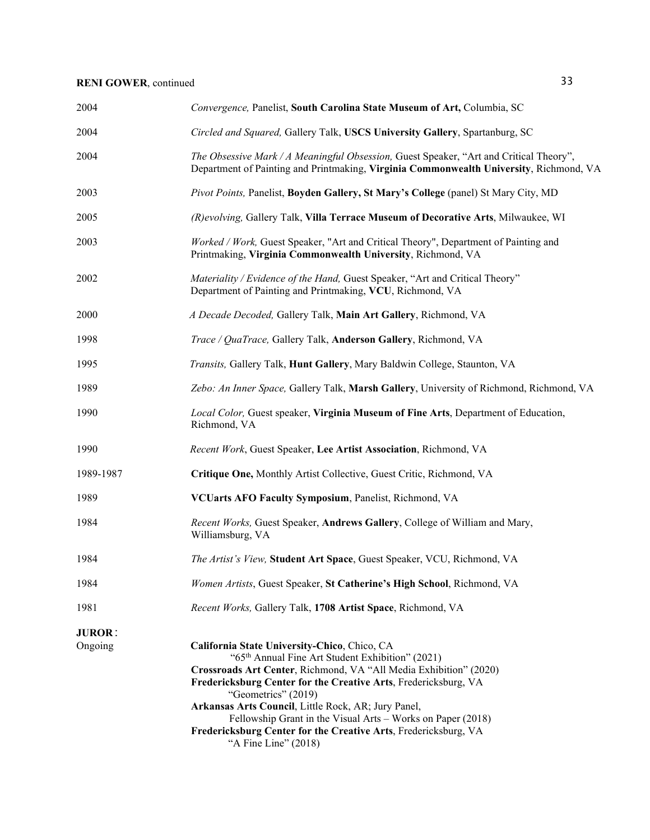| 2004                     | Convergence, Panelist, South Carolina State Museum of Art, Columbia, SC                                                                                                                                                                                                                                                                                                                                                                                                                      |
|--------------------------|----------------------------------------------------------------------------------------------------------------------------------------------------------------------------------------------------------------------------------------------------------------------------------------------------------------------------------------------------------------------------------------------------------------------------------------------------------------------------------------------|
| 2004                     | Circled and Squared, Gallery Talk, USCS University Gallery, Spartanburg, SC                                                                                                                                                                                                                                                                                                                                                                                                                  |
| 2004                     | The Obsessive Mark / A Meaningful Obsession, Guest Speaker, "Art and Critical Theory",<br>Department of Painting and Printmaking, Virginia Commonwealth University, Richmond, VA                                                                                                                                                                                                                                                                                                             |
| 2003                     | Pivot Points, Panelist, Boyden Gallery, St Mary's College (panel) St Mary City, MD                                                                                                                                                                                                                                                                                                                                                                                                           |
| 2005                     | (R) evolving, Gallery Talk, Villa Terrace Museum of Decorative Arts, Milwaukee, WI                                                                                                                                                                                                                                                                                                                                                                                                           |
| 2003                     | Worked / Work, Guest Speaker, "Art and Critical Theory", Department of Painting and<br>Printmaking, Virginia Commonwealth University, Richmond, VA                                                                                                                                                                                                                                                                                                                                           |
| 2002                     | Materiality / Evidence of the Hand, Guest Speaker, "Art and Critical Theory"<br>Department of Painting and Printmaking, VCU, Richmond, VA                                                                                                                                                                                                                                                                                                                                                    |
| 2000                     | A Decade Decoded, Gallery Talk, Main Art Gallery, Richmond, VA                                                                                                                                                                                                                                                                                                                                                                                                                               |
| 1998                     | Trace / QuaTrace, Gallery Talk, Anderson Gallery, Richmond, VA                                                                                                                                                                                                                                                                                                                                                                                                                               |
| 1995                     | Transits, Gallery Talk, Hunt Gallery, Mary Baldwin College, Staunton, VA                                                                                                                                                                                                                                                                                                                                                                                                                     |
| 1989                     | Zebo: An Inner Space, Gallery Talk, Marsh Gallery, University of Richmond, Richmond, VA                                                                                                                                                                                                                                                                                                                                                                                                      |
| 1990                     | Local Color, Guest speaker, Virginia Museum of Fine Arts, Department of Education,<br>Richmond, VA                                                                                                                                                                                                                                                                                                                                                                                           |
| 1990                     | Recent Work, Guest Speaker, Lee Artist Association, Richmond, VA                                                                                                                                                                                                                                                                                                                                                                                                                             |
| 1989-1987                | Critique One, Monthly Artist Collective, Guest Critic, Richmond, VA                                                                                                                                                                                                                                                                                                                                                                                                                          |
| 1989                     | VCUarts AFO Faculty Symposium, Panelist, Richmond, VA                                                                                                                                                                                                                                                                                                                                                                                                                                        |
| 1984                     | Recent Works, Guest Speaker, Andrews Gallery, College of William and Mary,<br>Williamsburg, VA                                                                                                                                                                                                                                                                                                                                                                                               |
| 1984                     | The Artist's View, Student Art Space, Guest Speaker, VCU, Richmond, VA                                                                                                                                                                                                                                                                                                                                                                                                                       |
| 1984                     | Women Artists, Guest Speaker, St Catherine's High School, Richmond, VA                                                                                                                                                                                                                                                                                                                                                                                                                       |
| 1981                     | Recent Works, Gallery Talk, 1708 Artist Space, Richmond, VA                                                                                                                                                                                                                                                                                                                                                                                                                                  |
| <b>JUROR:</b><br>Ongoing | California State University-Chico, Chico, CA<br>"65 <sup>th</sup> Annual Fine Art Student Exhibition" (2021)<br>Crossroads Art Center, Richmond, VA "All Media Exhibition" (2020)<br>Fredericksburg Center for the Creative Arts, Fredericksburg, VA<br>"Geometrics" (2019)<br>Arkansas Arts Council, Little Rock, AR; Jury Panel,<br>Fellowship Grant in the Visual Arts - Works on Paper (2018)<br>Fredericksburg Center for the Creative Arts, Fredericksburg, VA<br>"A Fine Line" (2018) |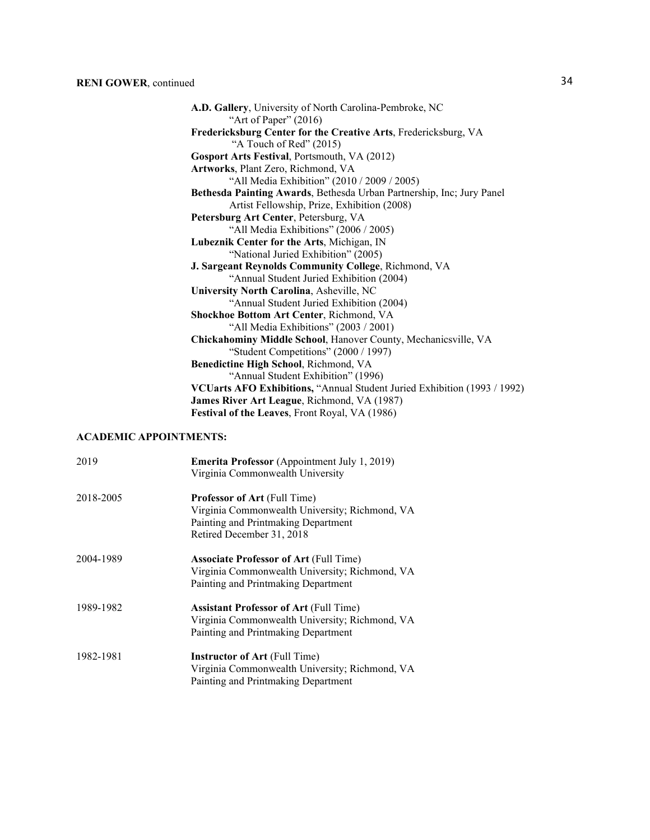| A.D. Gallery, University of North Carolina-Pembroke, NC<br>"Art of Paper" $(2016)$ |
|------------------------------------------------------------------------------------|
| Fredericksburg Center for the Creative Arts, Fredericksburg, VA                    |
| "A Touch of Red" (2015)                                                            |
| Gosport Arts Festival, Portsmouth, VA (2012)                                       |
| Artworks, Plant Zero, Richmond, VA                                                 |
| "All Media Exhibition" (2010 / 2009 / 2005)                                        |
| Bethesda Painting Awards, Bethesda Urban Partnership, Inc; Jury Panel              |
| Artist Fellowship, Prize, Exhibition (2008)                                        |
| Petersburg Art Center, Petersburg, VA                                              |
| "All Media Exhibitions" (2006 / 2005)                                              |
| Lubeznik Center for the Arts, Michigan, IN                                         |
| "National Juried Exhibition" (2005)                                                |
| J. Sargeant Reynolds Community College, Richmond, VA                               |
| "Annual Student Juried Exhibition (2004)                                           |
| University North Carolina, Asheville, NC                                           |
| "Annual Student Juried Exhibition (2004)                                           |
| Shockhoe Bottom Art Center, Richmond, VA                                           |
| "All Media Exhibitions" (2003 / 2001)                                              |
| Chickahominy Middle School, Hanover County, Mechanicsville, VA                     |
| "Student Competitions" (2000 / 1997)                                               |
| Benedictine High School, Richmond, VA                                              |
| "Annual Student Exhibition" (1996)                                                 |
| VCUarts AFO Exhibitions, "Annual Student Juried Exhibition (1993 / 1992)           |
| James River Art League, Richmond, VA (1987)                                        |
| Festival of the Leaves, Front Royal, VA (1986)                                     |

### **ACADEMIC APPOINTMENTS:**

| 2019      | <b>Emerita Professor</b> (Appointment July 1, 2019) |
|-----------|-----------------------------------------------------|
|           | Virginia Commonwealth University                    |
| 2018-2005 | <b>Professor of Art (Full Time)</b>                 |
|           | Virginia Commonwealth University; Richmond, VA      |
|           | Painting and Printmaking Department                 |
|           | Retired December 31, 2018                           |
| 2004-1989 | <b>Associate Professor of Art (Full Time)</b>       |
|           | Virginia Commonwealth University; Richmond, VA      |
|           | Painting and Printmaking Department                 |
| 1989-1982 | <b>Assistant Professor of Art (Full Time)</b>       |
|           | Virginia Commonwealth University; Richmond, VA      |
|           | Painting and Printmaking Department                 |
| 1982-1981 | <b>Instructor of Art (Full Time)</b>                |
|           | Virginia Commonwealth University; Richmond, VA      |
|           | Painting and Printmaking Department                 |
|           |                                                     |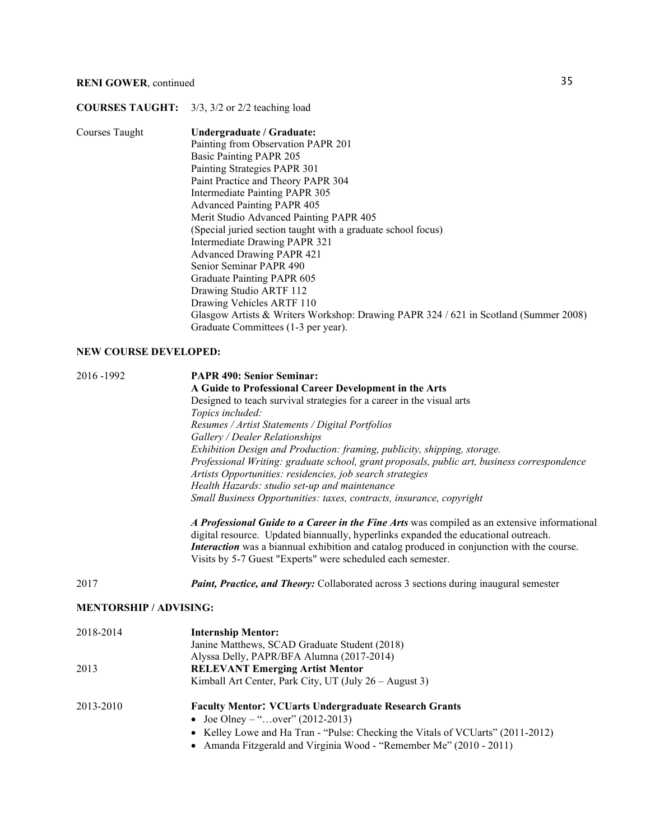### **COURSES TAUGHT:** 3/3, 3/2 or 2/2 teaching load

| Courses Taught | Undergraduate / Graduate:                                                            |
|----------------|--------------------------------------------------------------------------------------|
|                | Painting from Observation PAPR 201                                                   |
|                | Basic Painting PAPR 205                                                              |
|                | Painting Strategies PAPR 301                                                         |
|                | Paint Practice and Theory PAPR 304                                                   |
|                | Intermediate Painting PAPR 305                                                       |
|                | <b>Advanced Painting PAPR 405</b>                                                    |
|                | Merit Studio Advanced Painting PAPR 405                                              |
|                | (Special juried section taught with a graduate school focus)                         |
|                | Intermediate Drawing PAPR 321                                                        |
|                | <b>Advanced Drawing PAPR 421</b>                                                     |
|                | Senior Seminar PAPR 490                                                              |
|                | Graduate Painting PAPR 605                                                           |
|                | Drawing Studio ARTF 112                                                              |
|                | Drawing Vehicles ARTF 110                                                            |
|                | Glasgow Artists & Writers Workshop: Drawing PAPR 324 / 621 in Scotland (Summer 2008) |
|                | Graduate Committees (1-3 per year).                                                  |

#### **NEW COURSE DEVELOPED:**

| 2016 - 1992 | <b>PAPR 490: Senior Seminar:</b>                                                                                                                                                    |
|-------------|-------------------------------------------------------------------------------------------------------------------------------------------------------------------------------------|
|             | A Guide to Professional Career Development in the Arts                                                                                                                              |
|             | Designed to teach survival strategies for a career in the visual arts                                                                                                               |
|             | Topics included:                                                                                                                                                                    |
|             | Resumes / Artist Statements / Digital Portfolios                                                                                                                                    |
|             | Gallery / Dealer Relationships                                                                                                                                                      |
|             | Exhibition Design and Production: framing, publicity, shipping, storage.                                                                                                            |
|             | Professional Writing: graduate school, grant proposals, public art, business correspondence                                                                                         |
|             | Artists Opportunities: residencies, job search strategies                                                                                                                           |
|             | Health Hazards: studio set-up and maintenance                                                                                                                                       |
|             | Small Business Opportunities: taxes, contracts, insurance, copyright                                                                                                                |
|             | A Professional Guide to a Career in the Fine Arts was compiled as an extensive informational<br>digital resource. Updated biannually, hyperlinks expanded the educational outreach. |

digital resource. Updated biannually, hyperlinks expanded the educational outreach. *Interaction* was a biannual exhibition and catalog produced in conjunction with the course. Visits by 5-7 Guest "Experts" were scheduled each semester.

2017 *Paint, Practice, and Theory:* Collaborated across 3 sections during inaugural semester

#### **MENTORSHIP / ADVISING:**

| 2018-2014 | <b>Internship Mentor:</b><br>Janine Matthews, SCAD Graduate Student (2018)      |
|-----------|---------------------------------------------------------------------------------|
|           | Alyssa Delly, PAPR/BFA Alumna (2017-2014)                                       |
| 2013      | <b>RELEVANT Emerging Artist Mentor</b>                                          |
|           | Kimball Art Center, Park City, UT (July 26 – August 3)                          |
| 2013-2010 | <b>Faculty Mentor: VCUarts Undergraduate Research Grants</b>                    |
|           | • Joe Olney – "over" (2012-2013)                                                |
|           | • Kelley Lowe and Ha Tran - "Pulse: Checking the Vitals of VCUarts" (2011-2012) |
|           | • Amanda Fitzgerald and Virginia Wood - "Remember Me" (2010 - 2011)             |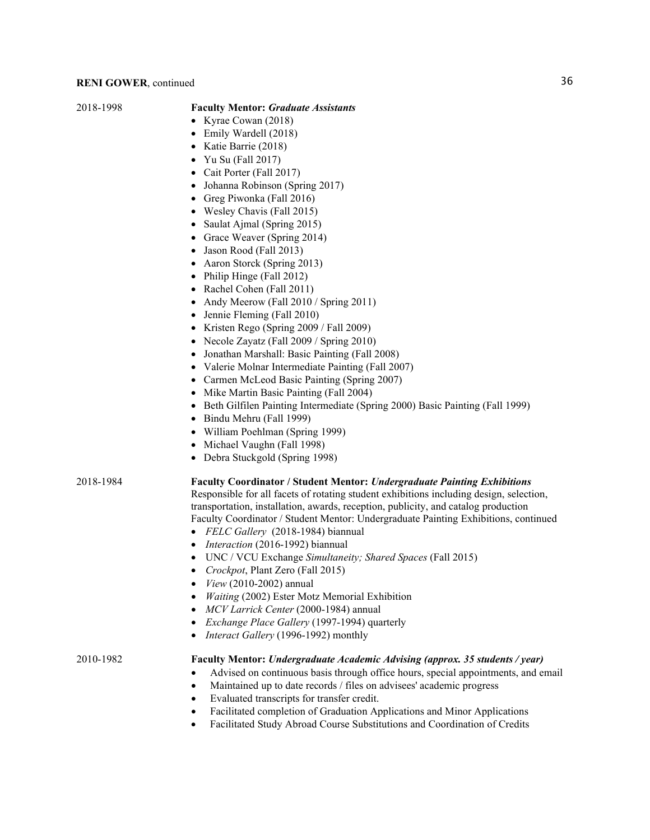#### 2018-1998 **Faculty Mentor:** *Graduate Assistants*

- Kyrae Cowan (2018)
- Emily Wardell (2018)
- Katie Barrie (2018)
- Yu Su (Fall 2017)
- Cait Porter (Fall 2017)
- Johanna Robinson (Spring 2017)
- Greg Piwonka (Fall 2016)
- Wesley Chavis (Fall 2015)
- Saulat Ajmal (Spring 2015)
- Grace Weaver (Spring 2014)
- Jason Rood (Fall 2013)
- Aaron Storck (Spring 2013)
- Philip Hinge (Fall 2012)
- Rachel Cohen (Fall 2011)
- Andy Meerow (Fall 2010 / Spring 2011)
- Jennie Fleming (Fall 2010)
- Kristen Rego (Spring 2009 / Fall 2009)
- Necole Zayatz (Fall 2009 / Spring 2010)
- Jonathan Marshall: Basic Painting (Fall 2008)
- Valerie Molnar Intermediate Painting (Fall 2007)
- Carmen McLeod Basic Painting (Spring 2007)
- Mike Martin Basic Painting (Fall 2004)
- Beth Gilfilen Painting Intermediate (Spring 2000) Basic Painting (Fall 1999)
- Bindu Mehru (Fall 1999)
- William Poehlman (Spring 1999)
- Michael Vaughn (Fall 1998)
- Debra Stuckgold (Spring 1998)

#### 2018-1984 **Faculty Coordinator / Student Mentor:** *Undergraduate Painting Exhibitions*

Responsible for all facets of rotating student exhibitions including design, selection, transportation, installation, awards, reception, publicity, and catalog production Faculty Coordinator / Student Mentor: Undergraduate Painting Exhibitions, continued

- *FELC Gallery* (2018-1984) biannual
- *Interaction* (2016-1992) biannual
- UNC / VCU Exchange *Simultaneity; Shared Spaces* (Fall 2015)
- *Crockpot*, Plant Zero (Fall 2015)
- *View* (2010-2002) annual
- *Waiting* (2002) Ester Motz Memorial Exhibition
- *MCV Larrick Center* (2000-1984) annual
- *Exchange Place Gallery* (1997-1994) quarterly
- *Interact Gallery* (1996-1992) monthly

#### 2010-1982 **Faculty Mentor:** *Undergraduate Academic Advising (approx. 35 students / year)*

- Advised on continuous basis through office hours, special appointments, and email
- Maintained up to date records / files on advisees' academic progress
- Evaluated transcripts for transfer credit.
- Facilitated completion of Graduation Applications and Minor Applications
- Facilitated Study Abroad Course Substitutions and Coordination of Credits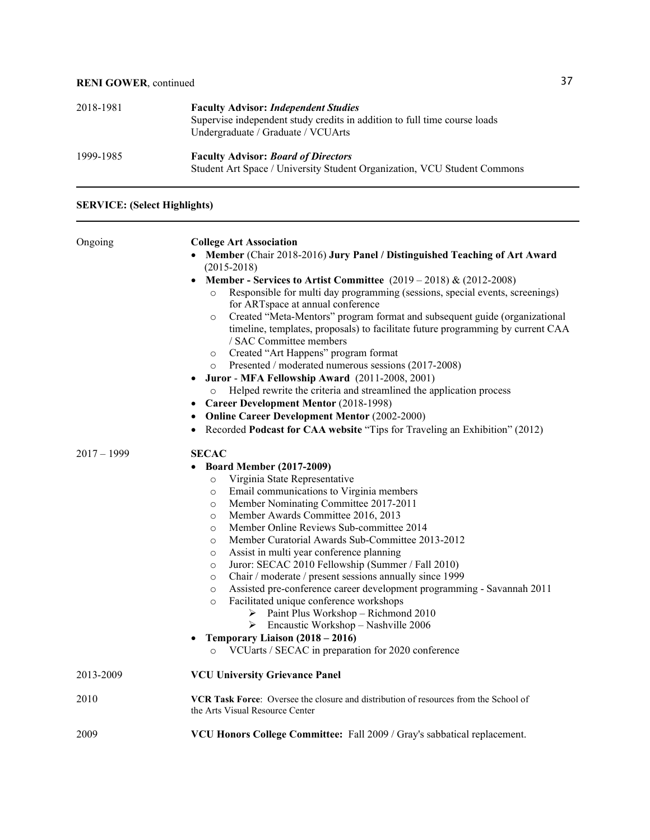| 2018-1981 | <b>Faculty Advisor: Independent Studies</b><br>Supervise independent study credits in addition to full time course loads<br>Undergraduate / Graduate / VCUArts |
|-----------|----------------------------------------------------------------------------------------------------------------------------------------------------------------|
| 1999-1985 | <b>Faculty Advisor: Board of Directors</b><br>Student Art Space / University Student Organization, VCU Student Commons                                         |

## **SERVICE: (Select Highlights)**

| Ongoing       | <b>College Art Association</b>                                                                                                                                                                                                                                                                                                                                                                                                                                                                                                                                                                                                                                                                                                                                                                                                                                                              |
|---------------|---------------------------------------------------------------------------------------------------------------------------------------------------------------------------------------------------------------------------------------------------------------------------------------------------------------------------------------------------------------------------------------------------------------------------------------------------------------------------------------------------------------------------------------------------------------------------------------------------------------------------------------------------------------------------------------------------------------------------------------------------------------------------------------------------------------------------------------------------------------------------------------------|
|               | Member (Chair 2018-2016) Jury Panel / Distinguished Teaching of Art Award<br>$(2015 - 2018)$                                                                                                                                                                                                                                                                                                                                                                                                                                                                                                                                                                                                                                                                                                                                                                                                |
|               | Member - Services to Artist Committee $(2019 - 2018)$ & $(2012 - 2008)$<br>$\bullet$<br>Responsible for multi day programming (sessions, special events, screenings)<br>$\circ$<br>for ARTspace at annual conference<br>Created "Meta-Mentors" program format and subsequent guide (organizational<br>$\circ$<br>timeline, templates, proposals) to facilitate future programming by current CAA<br>/ SAC Committee members<br>Created "Art Happens" program format<br>$\circ$<br>Presented / moderated numerous sessions (2017-2008)<br>$\circ$<br>Juror - MFA Fellowship Award (2011-2008, 2001)<br>Helped rewrite the criteria and streamlined the application process<br>$\circ$<br><b>Career Development Mentor (2018-1998)</b><br><b>Online Career Development Mentor (2002-2000)</b><br>$\bullet$<br>Recorded Podcast for CAA website "Tips for Traveling an Exhibition" (2012)<br>٠ |
| $2017 - 1999$ | <b>SECAC</b>                                                                                                                                                                                                                                                                                                                                                                                                                                                                                                                                                                                                                                                                                                                                                                                                                                                                                |
|               | <b>Board Member (2017-2009)</b>                                                                                                                                                                                                                                                                                                                                                                                                                                                                                                                                                                                                                                                                                                                                                                                                                                                             |
|               | Virginia State Representative                                                                                                                                                                                                                                                                                                                                                                                                                                                                                                                                                                                                                                                                                                                                                                                                                                                               |
|               | $\circ$                                                                                                                                                                                                                                                                                                                                                                                                                                                                                                                                                                                                                                                                                                                                                                                                                                                                                     |
|               | Email communications to Virginia members<br>$\circ$                                                                                                                                                                                                                                                                                                                                                                                                                                                                                                                                                                                                                                                                                                                                                                                                                                         |
|               | Member Nominating Committee 2017-2011<br>$\circ$                                                                                                                                                                                                                                                                                                                                                                                                                                                                                                                                                                                                                                                                                                                                                                                                                                            |
|               | Member Awards Committee 2016, 2013<br>$\circ$                                                                                                                                                                                                                                                                                                                                                                                                                                                                                                                                                                                                                                                                                                                                                                                                                                               |
|               | Member Online Reviews Sub-committee 2014<br>$\circ$                                                                                                                                                                                                                                                                                                                                                                                                                                                                                                                                                                                                                                                                                                                                                                                                                                         |
|               | Member Curatorial Awards Sub-Committee 2013-2012<br>$\circ$                                                                                                                                                                                                                                                                                                                                                                                                                                                                                                                                                                                                                                                                                                                                                                                                                                 |
|               | Assist in multi year conference planning<br>$\circ$                                                                                                                                                                                                                                                                                                                                                                                                                                                                                                                                                                                                                                                                                                                                                                                                                                         |
|               | Juror: SECAC 2010 Fellowship (Summer / Fall 2010)<br>$\circ$                                                                                                                                                                                                                                                                                                                                                                                                                                                                                                                                                                                                                                                                                                                                                                                                                                |
|               | Chair / moderate / present sessions annually since 1999<br>$\circ$                                                                                                                                                                                                                                                                                                                                                                                                                                                                                                                                                                                                                                                                                                                                                                                                                          |
|               | Assisted pre-conference career development programming - Savannah 2011<br>$\circ$                                                                                                                                                                                                                                                                                                                                                                                                                                                                                                                                                                                                                                                                                                                                                                                                           |
|               | Facilitated unique conference workshops<br>$\circ$                                                                                                                                                                                                                                                                                                                                                                                                                                                                                                                                                                                                                                                                                                                                                                                                                                          |
|               | Paint Plus Workshop - Richmond 2010<br>➤                                                                                                                                                                                                                                                                                                                                                                                                                                                                                                                                                                                                                                                                                                                                                                                                                                                    |
|               | Encaustic Workshop - Nashville 2006<br>➤                                                                                                                                                                                                                                                                                                                                                                                                                                                                                                                                                                                                                                                                                                                                                                                                                                                    |
|               | Temporary Liaison (2018 – 2016)<br>$\bullet$                                                                                                                                                                                                                                                                                                                                                                                                                                                                                                                                                                                                                                                                                                                                                                                                                                                |
|               | VCUarts / SECAC in preparation for 2020 conference<br>$\circ$                                                                                                                                                                                                                                                                                                                                                                                                                                                                                                                                                                                                                                                                                                                                                                                                                               |
| 2013-2009     | <b>VCU University Grievance Panel</b>                                                                                                                                                                                                                                                                                                                                                                                                                                                                                                                                                                                                                                                                                                                                                                                                                                                       |
| 2010          | VCR Task Force: Oversee the closure and distribution of resources from the School of<br>the Arts Visual Resource Center                                                                                                                                                                                                                                                                                                                                                                                                                                                                                                                                                                                                                                                                                                                                                                     |
| 2009          | VCU Honors College Committee: Fall 2009 / Gray's sabbatical replacement.                                                                                                                                                                                                                                                                                                                                                                                                                                                                                                                                                                                                                                                                                                                                                                                                                    |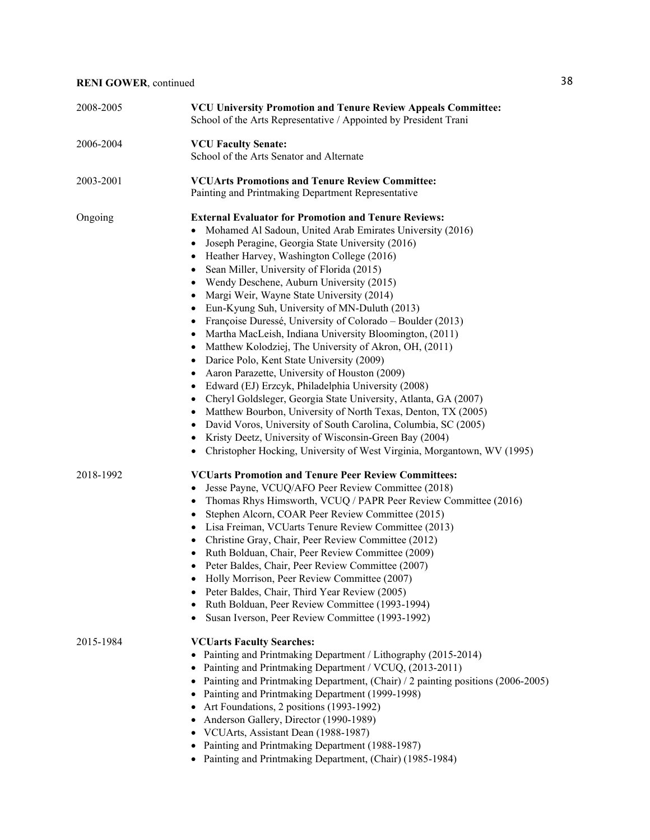| 2008-2005 | <b>VCU University Promotion and Tenure Review Appeals Committee:</b><br>School of the Arts Representative / Appointed by President Trani                                                                                                                                                                                                                                                                                                                                                                                                                                                                                                                                                                                                                                                                                                                                                                                                                                                                                                                                                                                                                                                                                                              |
|-----------|-------------------------------------------------------------------------------------------------------------------------------------------------------------------------------------------------------------------------------------------------------------------------------------------------------------------------------------------------------------------------------------------------------------------------------------------------------------------------------------------------------------------------------------------------------------------------------------------------------------------------------------------------------------------------------------------------------------------------------------------------------------------------------------------------------------------------------------------------------------------------------------------------------------------------------------------------------------------------------------------------------------------------------------------------------------------------------------------------------------------------------------------------------------------------------------------------------------------------------------------------------|
| 2006-2004 | <b>VCU Faculty Senate:</b><br>School of the Arts Senator and Alternate                                                                                                                                                                                                                                                                                                                                                                                                                                                                                                                                                                                                                                                                                                                                                                                                                                                                                                                                                                                                                                                                                                                                                                                |
| 2003-2001 | <b>VCUArts Promotions and Tenure Review Committee:</b><br>Painting and Printmaking Department Representative                                                                                                                                                                                                                                                                                                                                                                                                                                                                                                                                                                                                                                                                                                                                                                                                                                                                                                                                                                                                                                                                                                                                          |
| Ongoing   | <b>External Evaluator for Promotion and Tenure Reviews:</b><br>Mohamed Al Sadoun, United Arab Emirates University (2016)<br>$\bullet$<br>Joseph Peragine, Georgia State University (2016)<br>٠<br>Heather Harvey, Washington College (2016)<br>٠<br>Sean Miller, University of Florida (2015)<br>$\bullet$<br>Wendy Deschene, Auburn University (2015)<br>$\bullet$<br>Margi Weir, Wayne State University (2014)<br>٠<br>Eun-Kyung Suh, University of MN-Duluth (2013)<br>$\bullet$<br>Françoise Duressé, University of Colorado – Boulder (2013)<br>$\bullet$<br>Martha MacLeish, Indiana University Bloomington, (2011)<br>$\bullet$<br>Matthew Kolodziej, The University of Akron, OH, (2011)<br>$\bullet$<br>Darice Polo, Kent State University (2009)<br>$\bullet$<br>Aaron Parazette, University of Houston (2009)<br>Edward (EJ) Erzcyk, Philadelphia University (2008)<br>Cheryl Goldsleger, Georgia State University, Atlanta, GA (2007)<br>٠<br>Matthew Bourbon, University of North Texas, Denton, TX (2005)<br>٠<br>David Voros, University of South Carolina, Columbia, SC (2005)<br>$\bullet$<br>Kristy Deetz, University of Wisconsin-Green Bay (2004)<br>Christopher Hocking, University of West Virginia, Morgantown, WV (1995)<br>٠ |
| 2018-1992 | <b>VCUarts Promotion and Tenure Peer Review Committees:</b><br>Jesse Payne, VCUQ/AFO Peer Review Committee (2018)<br>Thomas Rhys Himsworth, VCUQ / PAPR Peer Review Committee (2016)<br>٠<br>Stephen Alcorn, COAR Peer Review Committee (2015)<br>$\bullet$<br>Lisa Freiman, VCUarts Tenure Review Committee (2013)<br>$\bullet$<br>Christine Gray, Chair, Peer Review Committee (2012)<br>٠<br>Ruth Bolduan, Chair, Peer Review Committee (2009)<br>Peter Baldes, Chair, Peer Review Committee (2007)<br>Holly Morrison, Peer Review Committee (2007)<br>Peter Baldes, Chair, Third Year Review (2005)<br>$\bullet$<br>Ruth Bolduan, Peer Review Committee (1993-1994)<br>٠<br>Susan Iverson, Peer Review Committee (1993-1992)<br>٠                                                                                                                                                                                                                                                                                                                                                                                                                                                                                                                 |
| 2015-1984 | <b>VCUarts Faculty Searches:</b><br>Painting and Printmaking Department / Lithography (2015-2014)<br>Painting and Printmaking Department / VCUQ, (2013-2011)<br>$\bullet$<br>Painting and Printmaking Department, (Chair) / 2 painting positions (2006-2005)<br>٠<br>Painting and Printmaking Department (1999-1998)<br>$\bullet$<br>Art Foundations, 2 positions (1993-1992)<br>٠<br>Anderson Gallery, Director (1990-1989)<br>$\bullet$<br>VCUArts, Assistant Dean (1988-1987)<br>٠<br>Painting and Printmaking Department (1988-1987)<br>٠<br>Painting and Printmaking Department, (Chair) (1985-1984)                                                                                                                                                                                                                                                                                                                                                                                                                                                                                                                                                                                                                                             |